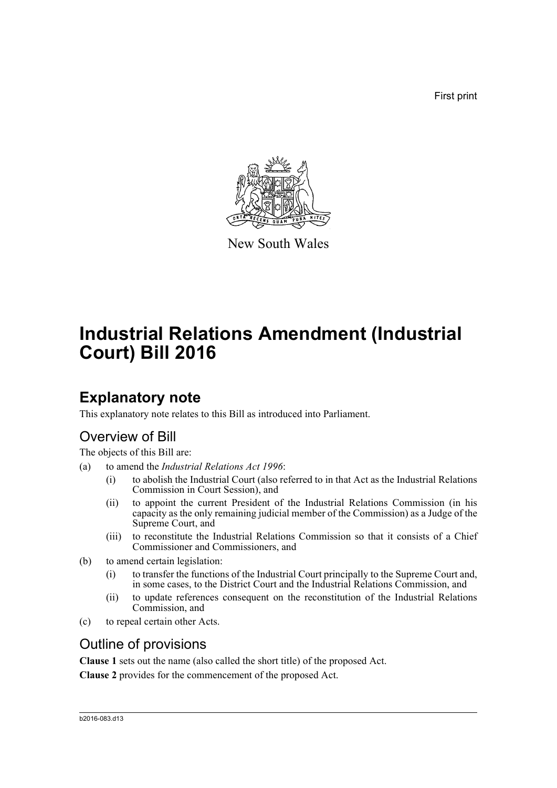First print



New South Wales

# **Industrial Relations Amendment (Industrial Court) Bill 2016**

# **Explanatory note**

This explanatory note relates to this Bill as introduced into Parliament.

## Overview of Bill

The objects of this Bill are:

- (a) to amend the *Industrial Relations Act 1996*:
	- (i) to abolish the Industrial Court (also referred to in that Act as the Industrial Relations Commission in Court Session), and
	- (ii) to appoint the current President of the Industrial Relations Commission (in his capacity as the only remaining judicial member of the Commission) as a Judge of the Supreme Court, and
	- (iii) to reconstitute the Industrial Relations Commission so that it consists of a Chief Commissioner and Commissioners, and
- (b) to amend certain legislation:
	- (i) to transfer the functions of the Industrial Court principally to the Supreme Court and, in some cases, to the District Court and the Industrial Relations Commission, and
	- (ii) to update references consequent on the reconstitution of the Industrial Relations Commission, and
- (c) to repeal certain other Acts.

## Outline of provisions

**Clause 1** sets out the name (also called the short title) of the proposed Act.

**Clause 2** provides for the commencement of the proposed Act.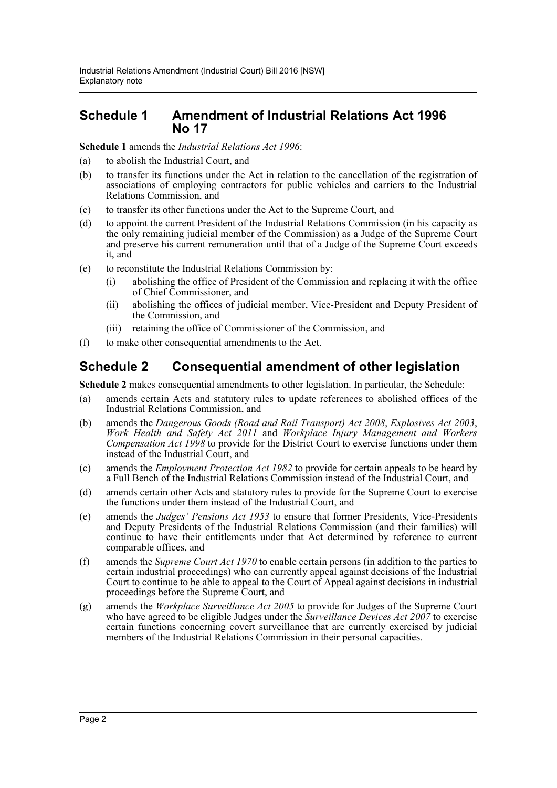### **Schedule 1 Amendment of Industrial Relations Act 1996 No 17**

**Schedule 1** amends the *Industrial Relations Act 1996*:

- (a) to abolish the Industrial Court, and
- (b) to transfer its functions under the Act in relation to the cancellation of the registration of associations of employing contractors for public vehicles and carriers to the Industrial Relations Commission, and
- (c) to transfer its other functions under the Act to the Supreme Court, and
- (d) to appoint the current President of the Industrial Relations Commission (in his capacity as the only remaining judicial member of the Commission) as a Judge of the Supreme Court and preserve his current remuneration until that of a Judge of the Supreme Court exceeds it, and
- (e) to reconstitute the Industrial Relations Commission by:
	- (i) abolishing the office of President of the Commission and replacing it with the office of Chief Commissioner, and
	- (ii) abolishing the offices of judicial member, Vice-President and Deputy President of the Commission, and
	- (iii) retaining the office of Commissioner of the Commission, and
- (f) to make other consequential amendments to the Act.

## **Schedule 2 Consequential amendment of other legislation**

**Schedule 2** makes consequential amendments to other legislation. In particular, the Schedule:

- (a) amends certain Acts and statutory rules to update references to abolished offices of the Industrial Relations Commission, and
- (b) amends the *Dangerous Goods (Road and Rail Transport) Act 2008*, *Explosives Act 2003*, *Work Health and Safety Act 2011* and *Workplace Injury Management and Workers Compensation Act 1998* to provide for the District Court to exercise functions under them instead of the Industrial Court, and
- (c) amends the *Employment Protection Act 1982* to provide for certain appeals to be heard by a Full Bench of the Industrial Relations Commission instead of the Industrial Court, and
- (d) amends certain other Acts and statutory rules to provide for the Supreme Court to exercise the functions under them instead of the Industrial Court, and
- (e) amends the *Judges' Pensions Act 1953* to ensure that former Presidents, Vice-Presidents and Deputy Presidents of the Industrial Relations Commission (and their families) will continue to have their entitlements under that Act determined by reference to current comparable offices, and
- (f) amends the *Supreme Court Act 1970* to enable certain persons (in addition to the parties to certain industrial proceedings) who can currently appeal against decisions of the Industrial Court to continue to be able to appeal to the Court of Appeal against decisions in industrial proceedings before the Supreme Court, and
- (g) amends the *Workplace Surveillance Act 2005* to provide for Judges of the Supreme Court who have agreed to be eligible Judges under the *Surveillance Devices Act 2007* to exercise certain functions concerning covert surveillance that are currently exercised by judicial members of the Industrial Relations Commission in their personal capacities.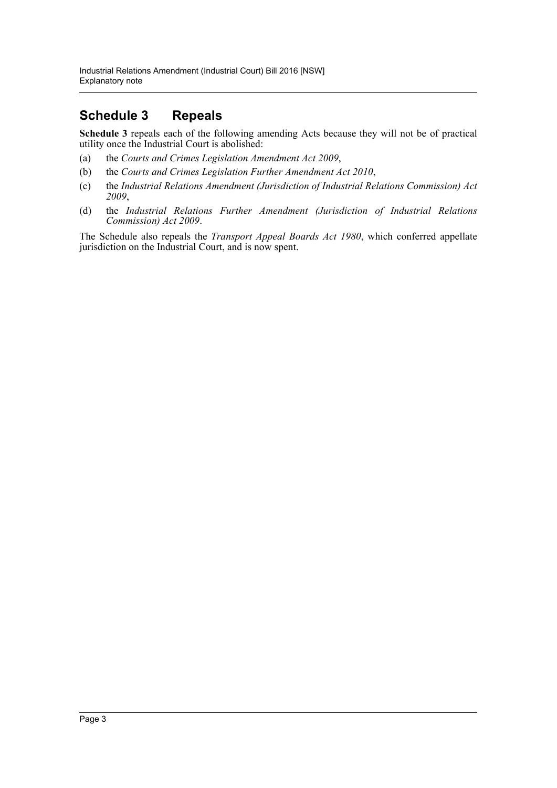## **Schedule 3 Repeals**

**Schedule 3** repeals each of the following amending Acts because they will not be of practical utility once the Industrial Court is abolished:

- (a) the *Courts and Crimes Legislation Amendment Act 2009*,
- (b) the *Courts and Crimes Legislation Further Amendment Act 2010*,
- (c) the *Industrial Relations Amendment (Jurisdiction of Industrial Relations Commission) Act 2009*,
- (d) the *Industrial Relations Further Amendment (Jurisdiction of Industrial Relations Commission) Act 2009*.

The Schedule also repeals the *Transport Appeal Boards Act 1980*, which conferred appellate jurisdiction on the Industrial Court, and is now spent.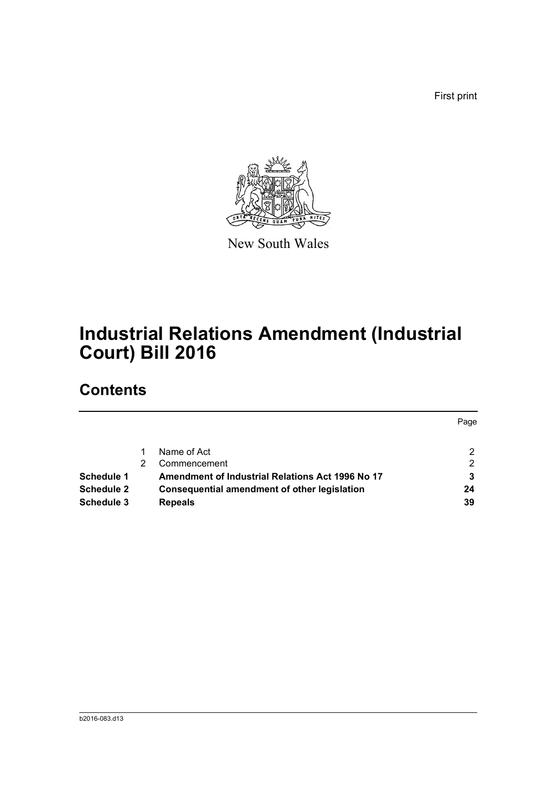First print



New South Wales

# **Industrial Relations Amendment (Industrial Court) Bill 2016**

# **Contents**

|                   |                                                  | Page |
|-------------------|--------------------------------------------------|------|
|                   | Name of Act                                      | 2    |
|                   | Commencement                                     | 2    |
| Schedule 1        | Amendment of Industrial Relations Act 1996 No 17 |      |
| <b>Schedule 2</b> | Consequential amendment of other legislation     | 24   |
| Schedule 3        | <b>Repeals</b>                                   | 39   |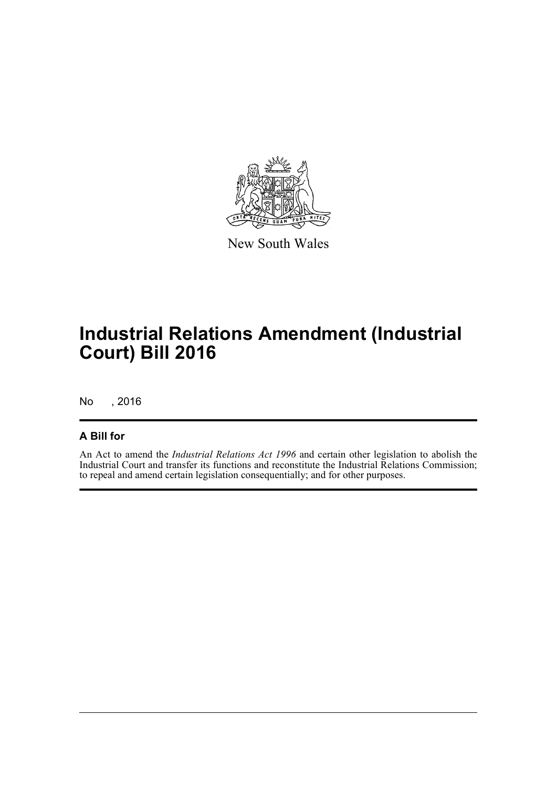

New South Wales

# **Industrial Relations Amendment (Industrial Court) Bill 2016**

No , 2016

### **A Bill for**

An Act to amend the *Industrial Relations Act 1996* and certain other legislation to abolish the Industrial Court and transfer its functions and reconstitute the Industrial Relations Commission; to repeal and amend certain legislation consequentially; and for other purposes.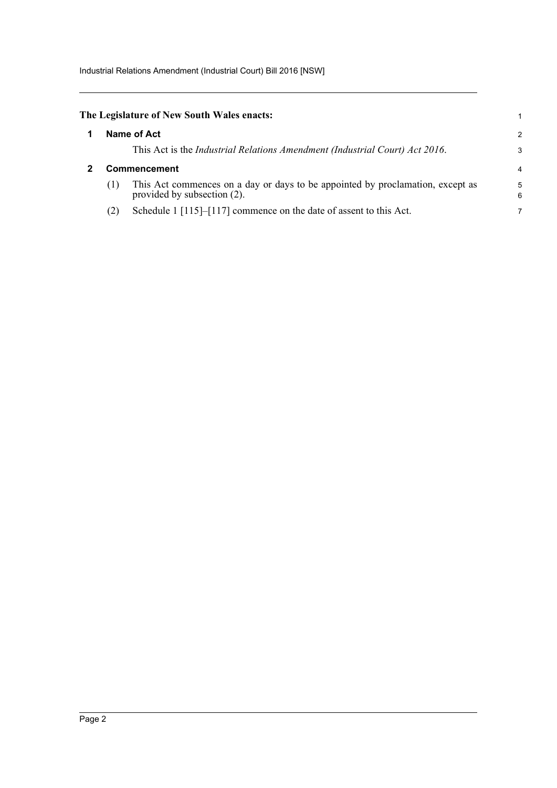Industrial Relations Amendment (Industrial Court) Bill 2016 [NSW]

<span id="page-5-1"></span><span id="page-5-0"></span>

|                     | The Legislature of New South Wales enacts:                                                                    |                |
|---------------------|---------------------------------------------------------------------------------------------------------------|----------------|
|                     | Name of Act                                                                                                   | $\overline{c}$ |
|                     | This Act is the Industrial Relations Amendment (Industrial Court) Act 2016.                                   | 3              |
| <b>Commencement</b> |                                                                                                               |                |
| (1)                 | This Act commences on a day or days to be appointed by proclamation, except as<br>provided by subsection (2). | 5<br>6         |
| (2)                 | Schedule 1 [115]–[117] commence on the date of assent to this Act.                                            |                |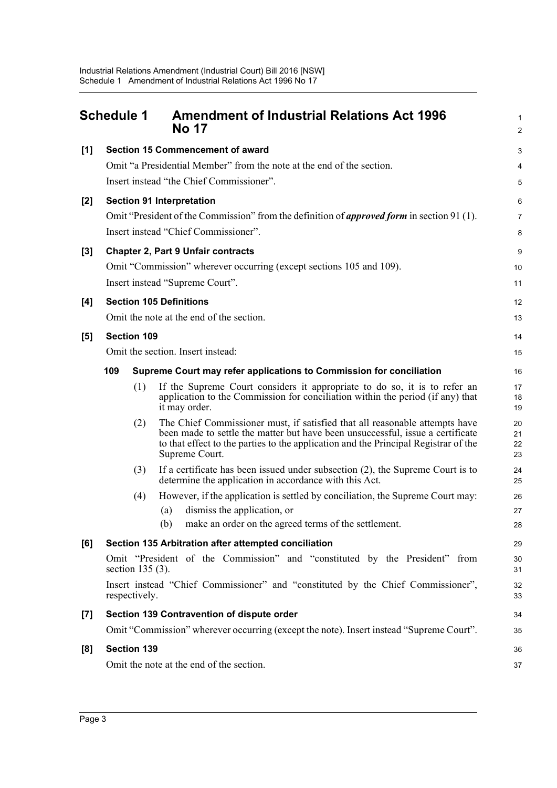<span id="page-6-0"></span>

|       | <b>Schedule 1</b> |                    | <b>Amendment of Industrial Relations Act 1996</b><br><b>No 17</b>                                                                                                                                                                                                      | 1<br>$\overline{c}$  |  |  |
|-------|-------------------|--------------------|------------------------------------------------------------------------------------------------------------------------------------------------------------------------------------------------------------------------------------------------------------------------|----------------------|--|--|
| [1]   |                   |                    | <b>Section 15 Commencement of award</b>                                                                                                                                                                                                                                | 3                    |  |  |
|       |                   |                    | Omit "a Presidential Member" from the note at the end of the section.                                                                                                                                                                                                  | 4                    |  |  |
|       |                   |                    | Insert instead "the Chief Commissioner".                                                                                                                                                                                                                               | 5                    |  |  |
| $[2]$ |                   |                    | <b>Section 91 Interpretation</b>                                                                                                                                                                                                                                       | 6                    |  |  |
|       |                   |                    | Omit "President of the Commission" from the definition of <i>approved form</i> in section 91 (1).                                                                                                                                                                      | 7                    |  |  |
|       |                   |                    | Insert instead "Chief Commissioner".                                                                                                                                                                                                                                   | 8                    |  |  |
| $[3]$ |                   |                    | <b>Chapter 2, Part 9 Unfair contracts</b>                                                                                                                                                                                                                              | 9                    |  |  |
|       |                   |                    | Omit "Commission" wherever occurring (except sections 105 and 109).                                                                                                                                                                                                    | 10                   |  |  |
|       |                   |                    | Insert instead "Supreme Court".                                                                                                                                                                                                                                        | 11                   |  |  |
| [4]   |                   |                    | <b>Section 105 Definitions</b>                                                                                                                                                                                                                                         | 12                   |  |  |
|       |                   |                    | Omit the note at the end of the section.                                                                                                                                                                                                                               | 13                   |  |  |
| [5]   |                   | <b>Section 109</b> |                                                                                                                                                                                                                                                                        |                      |  |  |
|       |                   |                    | Omit the section. Insert instead:                                                                                                                                                                                                                                      | 14<br>15             |  |  |
|       | 109               |                    | Supreme Court may refer applications to Commission for conciliation                                                                                                                                                                                                    | 16                   |  |  |
|       |                   | (1)                | If the Supreme Court considers it appropriate to do so, it is to refer an<br>application to the Commission for conciliation within the period (if any) that<br>it may order.                                                                                           | 17<br>18<br>19       |  |  |
|       |                   | (2)                | The Chief Commissioner must, if satisfied that all reasonable attempts have<br>been made to settle the matter but have been unsuccessful, issue a certificate<br>to that effect to the parties to the application and the Principal Registrar of the<br>Supreme Court. | 20<br>21<br>22<br>23 |  |  |
|       |                   | (3)                | If a certificate has been issued under subsection $(2)$ , the Supreme Court is to<br>determine the application in accordance with this Act.                                                                                                                            | 24<br>25             |  |  |
|       |                   | (4)                | However, if the application is settled by conciliation, the Supreme Court may:                                                                                                                                                                                         | 26                   |  |  |
|       |                   |                    | dismiss the application, or<br>(a)                                                                                                                                                                                                                                     | 27                   |  |  |
|       |                   |                    | (b) make an order on the agreed terms of the settlement.                                                                                                                                                                                                               | 28                   |  |  |
| [6]   |                   |                    | Section 135 Arbitration after attempted conciliation                                                                                                                                                                                                                   | 29                   |  |  |
|       |                   | section $135(3)$ . | Omit "President of the Commission" and "constituted by the President" from                                                                                                                                                                                             | 30<br>31             |  |  |
|       |                   | respectively.      | Insert instead "Chief Commissioner" and "constituted by the Chief Commissioner",                                                                                                                                                                                       | 32<br>33             |  |  |
| $[7]$ |                   |                    | Section 139 Contravention of dispute order                                                                                                                                                                                                                             | 34                   |  |  |
|       |                   |                    | Omit "Commission" wherever occurring (except the note). Insert instead "Supreme Court".                                                                                                                                                                                | 35                   |  |  |
| [8]   |                   | <b>Section 139</b> |                                                                                                                                                                                                                                                                        | 36                   |  |  |
|       |                   |                    | Omit the note at the end of the section.                                                                                                                                                                                                                               | 37                   |  |  |
|       |                   |                    |                                                                                                                                                                                                                                                                        |                      |  |  |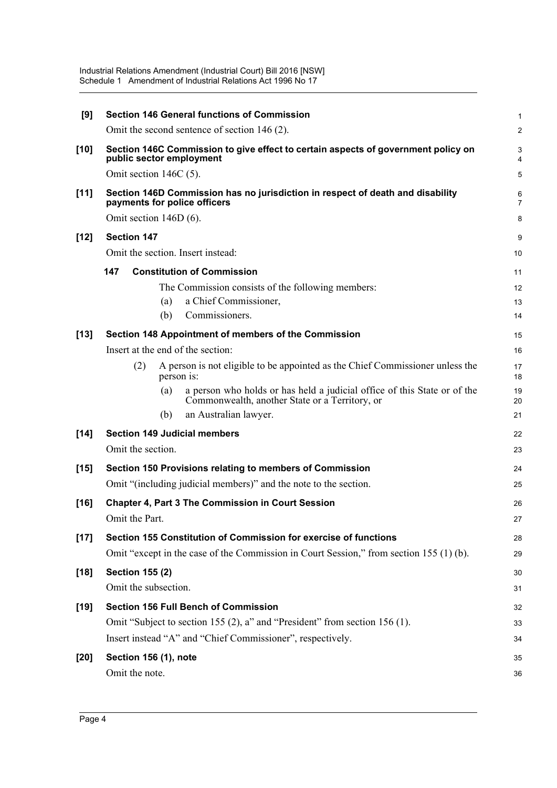| [9]    | <b>Section 146 General functions of Commission</b>                                                                                | $\mathbf{1}$        |
|--------|-----------------------------------------------------------------------------------------------------------------------------------|---------------------|
|        | Omit the second sentence of section 146 (2).                                                                                      | $\overline{2}$      |
| $[10]$ | Section 146C Commission to give effect to certain aspects of government policy on<br>public sector employment                     | 3<br>4              |
|        | Omit section $146C(5)$ .                                                                                                          | 5                   |
| $[11]$ | Section 146D Commission has no jurisdiction in respect of death and disability<br>payments for police officers                    | 6<br>$\overline{7}$ |
|        | Omit section $146D(6)$ .                                                                                                          | 8                   |
| $[12]$ | <b>Section 147</b>                                                                                                                | 9                   |
|        | Omit the section. Insert instead:                                                                                                 | 10                  |
|        | <b>Constitution of Commission</b><br>147                                                                                          | 11                  |
|        | The Commission consists of the following members:                                                                                 | 12                  |
|        | a Chief Commissioner,<br>(a)                                                                                                      | 13                  |
|        | Commissioners.<br>(b)                                                                                                             | 14                  |
| $[13]$ | Section 148 Appointment of members of the Commission                                                                              | 15                  |
|        | Insert at the end of the section:                                                                                                 | 16                  |
|        | (2)<br>A person is not eligible to be appointed as the Chief Commissioner unless the<br>person is:                                | 17<br>18            |
|        | a person who holds or has held a judicial office of this State or of the<br>(a)<br>Commonwealth, another State or a Territory, or | 19<br>20            |
|        | an Australian lawyer.<br>(b)                                                                                                      | 21                  |
| $[14]$ | <b>Section 149 Judicial members</b>                                                                                               | 22                  |
|        | Omit the section.                                                                                                                 | 23                  |
| $[15]$ | Section 150 Provisions relating to members of Commission                                                                          | 24                  |
|        | Omit "(including judicial members)" and the note to the section.                                                                  | 25                  |
| $[16]$ | <b>Chapter 4, Part 3 The Commission in Court Session</b>                                                                          | 26                  |
|        | Omit the Part.                                                                                                                    | 27                  |
| $[17]$ | Section 155 Constitution of Commission for exercise of functions                                                                  | 28                  |
|        | Omit "except in the case of the Commission in Court Session," from section 155 (1) (b).                                           | 29                  |
| $[18]$ | <b>Section 155 (2)</b>                                                                                                            | 30                  |
|        | Omit the subsection.                                                                                                              | 31                  |
| $[19]$ | <b>Section 156 Full Bench of Commission</b>                                                                                       | 32                  |
|        | Omit "Subject to section 155 (2), a" and "President" from section 156 (1).                                                        | 33                  |
|        | Insert instead "A" and "Chief Commissioner", respectively.                                                                        | 34                  |
| $[20]$ | Section 156 (1), note                                                                                                             | 35                  |
|        | Omit the note.                                                                                                                    | 36                  |
|        |                                                                                                                                   |                     |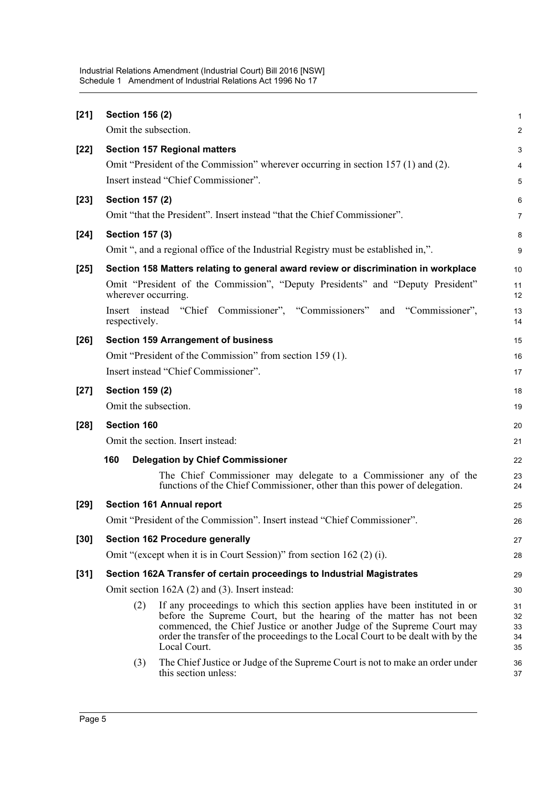| $[21]$ | <b>Section 156 (2)</b> |                                                                                                                                                                                                                                                                                                                                   | 1                          |
|--------|------------------------|-----------------------------------------------------------------------------------------------------------------------------------------------------------------------------------------------------------------------------------------------------------------------------------------------------------------------------------|----------------------------|
|        | Omit the subsection.   |                                                                                                                                                                                                                                                                                                                                   | $\overline{c}$             |
| $[22]$ |                        | <b>Section 157 Regional matters</b>                                                                                                                                                                                                                                                                                               | 3                          |
|        |                        | Omit "President of the Commission" wherever occurring in section 157 (1) and (2).                                                                                                                                                                                                                                                 | 4                          |
|        |                        | Insert instead "Chief Commissioner".                                                                                                                                                                                                                                                                                              | 5                          |
| $[23]$ | <b>Section 157 (2)</b> |                                                                                                                                                                                                                                                                                                                                   | 6                          |
|        |                        | Omit "that the President". Insert instead "that the Chief Commissioner".                                                                                                                                                                                                                                                          | 7                          |
| $[24]$ | <b>Section 157 (3)</b> |                                                                                                                                                                                                                                                                                                                                   | 8                          |
|        |                        | Omit ", and a regional office of the Industrial Registry must be established in,".                                                                                                                                                                                                                                                | 9                          |
| $[25]$ |                        | Section 158 Matters relating to general award review or discrimination in workplace                                                                                                                                                                                                                                               | 10                         |
|        | wherever occurring.    | Omit "President of the Commission", "Deputy Presidents" and "Deputy President"                                                                                                                                                                                                                                                    | 11<br>12                   |
|        | respectively.          | Insert instead "Chief Commissioner", "Commissioners"<br>"Commissioner",<br>and                                                                                                                                                                                                                                                    | 13<br>14                   |
| $[26]$ |                        | <b>Section 159 Arrangement of business</b>                                                                                                                                                                                                                                                                                        | 15                         |
|        |                        | Omit "President of the Commission" from section 159 (1).                                                                                                                                                                                                                                                                          | 16                         |
|        |                        | Insert instead "Chief Commissioner".                                                                                                                                                                                                                                                                                              | 17                         |
| $[27]$ | <b>Section 159 (2)</b> |                                                                                                                                                                                                                                                                                                                                   | 18                         |
|        | Omit the subsection.   |                                                                                                                                                                                                                                                                                                                                   | 19                         |
| $[28]$ | <b>Section 160</b>     |                                                                                                                                                                                                                                                                                                                                   | 20                         |
|        |                        | Omit the section. Insert instead:                                                                                                                                                                                                                                                                                                 | 21                         |
|        | 160                    | <b>Delegation by Chief Commissioner</b>                                                                                                                                                                                                                                                                                           | 22                         |
|        |                        | The Chief Commissioner may delegate to a Commissioner any of the<br>functions of the Chief Commissioner, other than this power of delegation.                                                                                                                                                                                     | 23<br>24                   |
| $[29]$ |                        | <b>Section 161 Annual report</b>                                                                                                                                                                                                                                                                                                  | 25                         |
|        |                        | Omit "President of the Commission". Insert instead "Chief Commissioner".                                                                                                                                                                                                                                                          | 26                         |
| $[30]$ |                        | <b>Section 162 Procedure generally</b>                                                                                                                                                                                                                                                                                            | 27                         |
|        |                        | Omit "(except when it is in Court Session)" from section 162 (2) (i).                                                                                                                                                                                                                                                             | 28                         |
| $[31]$ |                        | Section 162A Transfer of certain proceedings to Industrial Magistrates                                                                                                                                                                                                                                                            | 29                         |
|        |                        | Omit section 162A (2) and (3). Insert instead:                                                                                                                                                                                                                                                                                    | 30                         |
|        | (2)                    | If any proceedings to which this section applies have been instituted in or<br>before the Supreme Court, but the hearing of the matter has not been<br>commenced, the Chief Justice or another Judge of the Supreme Court may<br>order the transfer of the proceedings to the Local Court to be dealt with by the<br>Local Court. | 31<br>32<br>33<br>34<br>35 |
|        | (3)                    | The Chief Justice or Judge of the Supreme Court is not to make an order under<br>this section unless:                                                                                                                                                                                                                             | 36<br>37                   |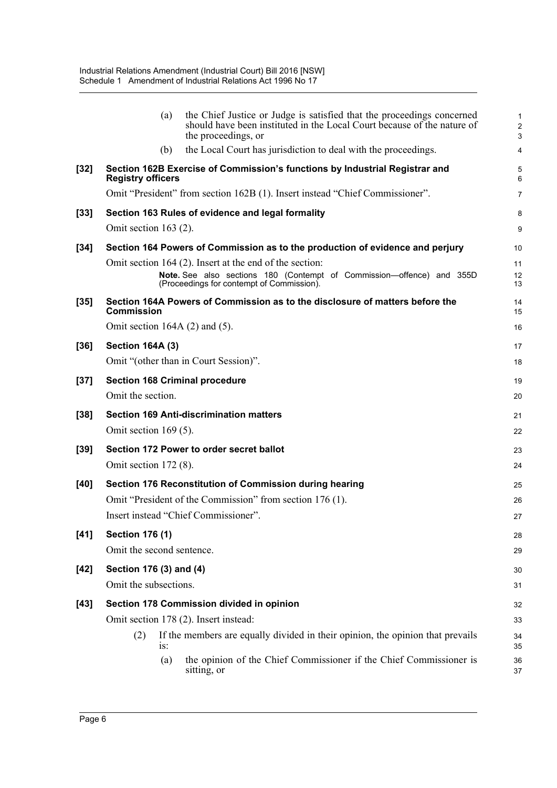|        | the Chief Justice or Judge is satisfied that the proceedings concerned<br>(a)<br>should have been instituted in the Local Court because of the nature of<br>the proceedings, or | $\mathbf{1}$<br>$\overline{2}$<br>3 |
|--------|---------------------------------------------------------------------------------------------------------------------------------------------------------------------------------|-------------------------------------|
|        | the Local Court has jurisdiction to deal with the proceedings.<br>(b)                                                                                                           | $\overline{4}$                      |
| $[32]$ | Section 162B Exercise of Commission's functions by Industrial Registrar and<br><b>Registry officers</b>                                                                         | 5<br>6                              |
|        | Omit "President" from section 162B (1). Insert instead "Chief Commissioner".                                                                                                    | $\overline{7}$                      |
| $[33]$ | Section 163 Rules of evidence and legal formality                                                                                                                               | 8                                   |
|        | Omit section $163(2)$ .                                                                                                                                                         | 9                                   |
| $[34]$ | Section 164 Powers of Commission as to the production of evidence and perjury                                                                                                   | 10                                  |
|        | Omit section 164 (2). Insert at the end of the section:                                                                                                                         | 11                                  |
|        | Note. See also sections 180 (Contempt of Commission-offence) and 355D<br>(Proceedings for contempt of Commission).                                                              | 12<br>13                            |
| $[35]$ | Section 164A Powers of Commission as to the disclosure of matters before the<br><b>Commission</b>                                                                               | 14<br>15                            |
|        | Omit section 164A $(2)$ and $(5)$ .                                                                                                                                             | 16                                  |
| $[36]$ | <b>Section 164A (3)</b>                                                                                                                                                         | 17                                  |
|        | Omit "(other than in Court Session)".                                                                                                                                           | 18                                  |
| $[37]$ | <b>Section 168 Criminal procedure</b>                                                                                                                                           | 19                                  |
|        | Omit the section.                                                                                                                                                               | 20                                  |
| $[38]$ | <b>Section 169 Anti-discrimination matters</b>                                                                                                                                  | 21                                  |
|        | Omit section $169(5)$ .                                                                                                                                                         | 22                                  |
| $[39]$ | Section 172 Power to order secret ballot                                                                                                                                        | 23                                  |
|        | Omit section $172(8)$ .                                                                                                                                                         | 24                                  |
| [40]   | Section 176 Reconstitution of Commission during hearing                                                                                                                         | 25                                  |
|        | Omit "President of the Commission" from section 176 (1).                                                                                                                        | 26                                  |
|        | Insert instead "Chief Commissioner".                                                                                                                                            | 27                                  |
| $[41]$ | <b>Section 176 (1)</b>                                                                                                                                                          | 28                                  |
|        | Omit the second sentence.                                                                                                                                                       | 29                                  |
| $[42]$ | Section 176 (3) and (4)                                                                                                                                                         | 30                                  |
|        | Omit the subsections.                                                                                                                                                           | 31                                  |
| $[43]$ | Section 178 Commission divided in opinion                                                                                                                                       | 32                                  |
|        | Omit section 178 (2). Insert instead:                                                                                                                                           | 33                                  |
|        | If the members are equally divided in their opinion, the opinion that prevails<br>(2)<br>$1S$ :                                                                                 | 34<br>35                            |
|        | the opinion of the Chief Commissioner if the Chief Commissioner is<br>(a)<br>sitting, or                                                                                        | 36<br>37                            |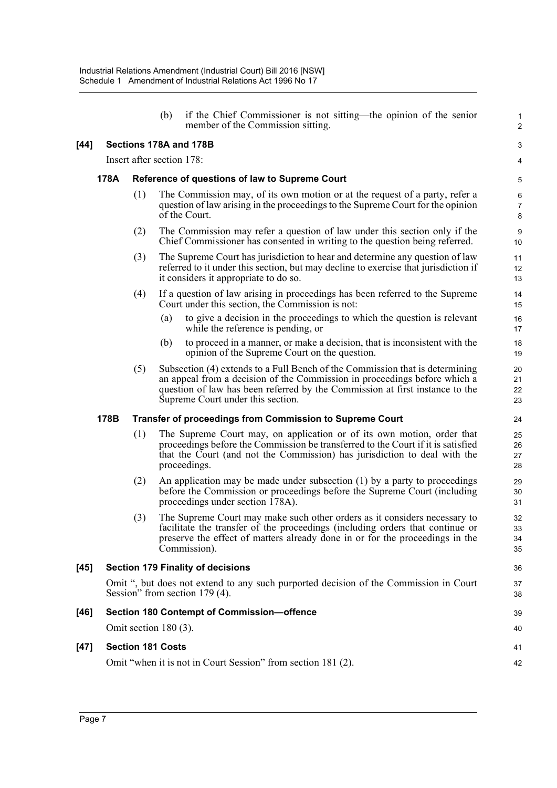|        |      |     | (b)                       | if the Chief Commissioner is not sitting—the opinion of the senior<br>member of the Commission sitting.                                                                                                                                                                        | $\mathbf{1}$<br>$\overline{2}$ |
|--------|------|-----|---------------------------|--------------------------------------------------------------------------------------------------------------------------------------------------------------------------------------------------------------------------------------------------------------------------------|--------------------------------|
| $[44]$ |      |     |                           | Sections 178A and 178B                                                                                                                                                                                                                                                         | 3                              |
|        |      |     | Insert after section 178: |                                                                                                                                                                                                                                                                                | $\overline{\mathbf{4}}$        |
|        | 178A |     |                           | Reference of questions of law to Supreme Court                                                                                                                                                                                                                                 | 5                              |
|        |      | (1) |                           | The Commission may, of its own motion or at the request of a party, refer a<br>question of law arising in the proceedings to the Supreme Court for the opinion<br>of the Court.                                                                                                | 6<br>$\overline{7}$<br>8       |
|        |      | (2) |                           | The Commission may refer a question of law under this section only if the<br>Chief Commissioner has consented in writing to the question being referred.                                                                                                                       | 9<br>10                        |
|        |      | (3) |                           | The Supreme Court has jurisdiction to hear and determine any question of law<br>referred to it under this section, but may decline to exercise that jurisdiction if<br>it considers it appropriate to do so.                                                                   | 11<br>12<br>13                 |
|        |      | (4) |                           | If a question of law arising in proceedings has been referred to the Supreme<br>Court under this section, the Commission is not:                                                                                                                                               | 14<br>15                       |
|        |      |     | (a)                       | to give a decision in the proceedings to which the question is relevant<br>while the reference is pending, or                                                                                                                                                                  | 16<br>17                       |
|        |      |     | (b)                       | to proceed in a manner, or make a decision, that is inconsistent with the<br>opinion of the Supreme Court on the question.                                                                                                                                                     | 18<br>19                       |
|        |      | (5) |                           | Subsection (4) extends to a Full Bench of the Commission that is determining<br>an appeal from a decision of the Commission in proceedings before which a<br>question of law has been referred by the Commission at first instance to the<br>Supreme Court under this section. | 20<br>21<br>22<br>23           |
|        | 178B |     |                           | <b>Transfer of proceedings from Commission to Supreme Court</b>                                                                                                                                                                                                                | 24                             |
|        |      | (1) |                           | The Supreme Court may, on application or of its own motion, order that<br>proceedings before the Commission be transferred to the Court if it is satisfied<br>that the Court (and not the Commission) has jurisdiction to deal with the<br>proceedings.                        | 25<br>26<br>27<br>28           |
|        |      | (2) |                           | An application may be made under subsection $(1)$ by a party to proceedings<br>before the Commission or proceedings before the Supreme Court (including<br>proceedings under section 178A).                                                                                    | 29<br>30<br>31                 |
|        |      | (3) |                           | The Supreme Court may make such other orders as it considers necessary to<br>facilitate the transfer of the proceedings (including orders that continue or<br>preserve the effect of matters already done in or for the proceedings in the<br>Commission).                     | 32<br>33<br>34<br>35           |
| $[45]$ |      |     |                           | <b>Section 179 Finality of decisions</b>                                                                                                                                                                                                                                       | 36                             |
|        |      |     |                           | Omit ", but does not extend to any such purported decision of the Commission in Court<br>Session" from section 179 (4).                                                                                                                                                        | 37<br>38                       |
| [46]   |      |     |                           | Section 180 Contempt of Commission-offence                                                                                                                                                                                                                                     | 39                             |
|        |      |     | Omit section $180(3)$ .   |                                                                                                                                                                                                                                                                                | 40                             |
| $[47]$ |      |     | <b>Section 181 Costs</b>  |                                                                                                                                                                                                                                                                                | 41                             |
|        |      |     |                           | Omit "when it is not in Court Session" from section 181 (2).                                                                                                                                                                                                                   | 42                             |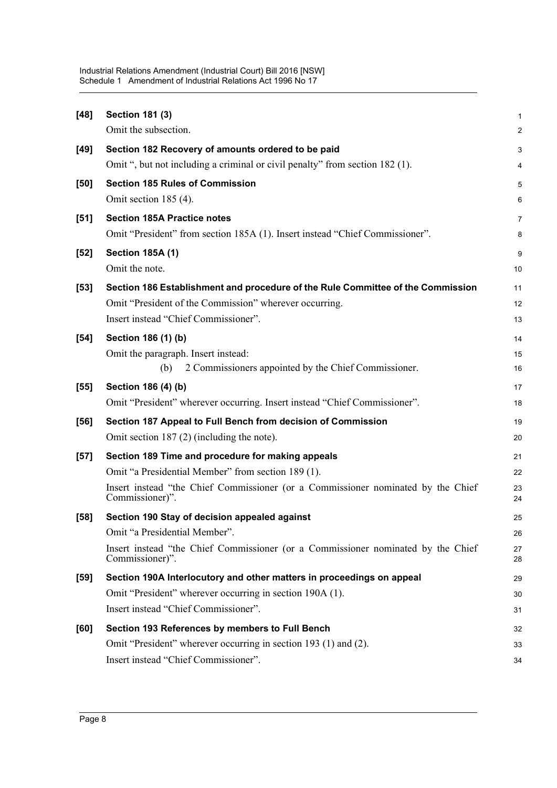| $[48]$ | <b>Section 181 (3)</b>                                                                              | $\mathbf 1$    |
|--------|-----------------------------------------------------------------------------------------------------|----------------|
|        | Omit the subsection.                                                                                | $\overline{2}$ |
| $[49]$ | Section 182 Recovery of amounts ordered to be paid                                                  | 3              |
|        | Omit ", but not including a criminal or civil penalty" from section 182 (1).                        | 4              |
| [50]   | <b>Section 185 Rules of Commission</b>                                                              | 5              |
|        | Omit section 185 (4).                                                                               | 6              |
| [51]   | <b>Section 185A Practice notes</b>                                                                  | 7              |
|        | Omit "President" from section 185A (1). Insert instead "Chief Commissioner".                        | 8              |
| $[52]$ | <b>Section 185A (1)</b>                                                                             | 9              |
|        | Omit the note.                                                                                      | 10             |
| $[53]$ | Section 186 Establishment and procedure of the Rule Committee of the Commission                     | 11             |
|        | Omit "President of the Commission" wherever occurring.                                              | 12             |
|        | Insert instead "Chief Commissioner".                                                                | 13             |
| $[54]$ | Section 186 (1) (b)                                                                                 | 14             |
|        | Omit the paragraph. Insert instead:                                                                 | 15             |
|        | 2 Commissioners appointed by the Chief Commissioner.<br>(b)                                         | 16             |
| $[55]$ | Section 186 (4) (b)                                                                                 | 17             |
|        | Omit "President" wherever occurring. Insert instead "Chief Commissioner".                           | 18             |
| $[56]$ | Section 187 Appeal to Full Bench from decision of Commission                                        | 19             |
|        | Omit section $187(2)$ (including the note).                                                         | 20             |
| $[57]$ | Section 189 Time and procedure for making appeals                                                   | 21             |
|        | Omit "a Presidential Member" from section 189 (1).                                                  | 22             |
|        | Insert instead "the Chief Commissioner (or a Commissioner nominated by the Chief<br>Commissioner)". | 23<br>24       |
| $[58]$ | Section 190 Stay of decision appealed against                                                       | 25             |
|        | Omit "a Presidential Member".                                                                       | 26             |
|        | Insert instead "the Chief Commissioner (or a Commissioner nominated by the Chief<br>Commissioner)". | 27<br>28       |
| $[59]$ | Section 190A Interlocutory and other matters in proceedings on appeal                               | 29             |
|        | Omit "President" wherever occurring in section 190A (1).                                            | 30             |
|        | Insert instead "Chief Commissioner".                                                                | 31             |
| [60]   | Section 193 References by members to Full Bench                                                     | 32             |
|        | Omit "President" wherever occurring in section 193 (1) and (2).                                     | 33             |
|        | Insert instead "Chief Commissioner".                                                                | 34             |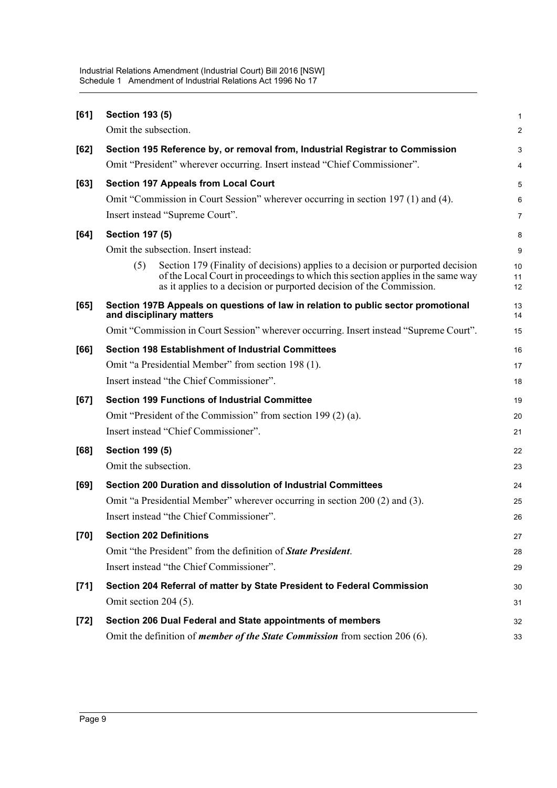| [61]   | <b>Section 193 (5)</b>                                                                                                                                                                                                                            | $\mathbf{1}$   |
|--------|---------------------------------------------------------------------------------------------------------------------------------------------------------------------------------------------------------------------------------------------------|----------------|
|        | Omit the subsection.                                                                                                                                                                                                                              | $\overline{2}$ |
| $[62]$ | Section 195 Reference by, or removal from, Industrial Registrar to Commission                                                                                                                                                                     | 3              |
|        | Omit "President" wherever occurring. Insert instead "Chief Commissioner".                                                                                                                                                                         | 4              |
| [63]   | <b>Section 197 Appeals from Local Court</b>                                                                                                                                                                                                       | 5              |
|        | Omit "Commission in Court Session" wherever occurring in section 197 (1) and (4).                                                                                                                                                                 | 6              |
|        | Insert instead "Supreme Court".                                                                                                                                                                                                                   | $\overline{7}$ |
| [64]   | <b>Section 197 (5)</b>                                                                                                                                                                                                                            | 8              |
|        | Omit the subsection. Insert instead:                                                                                                                                                                                                              | 9              |
|        | (5)<br>Section 179 (Finality of decisions) applies to a decision or purported decision<br>of the Local Court in proceedings to which this section applies in the same way<br>as it applies to a decision or purported decision of the Commission. | 10<br>11<br>12 |
| [65]   | Section 197B Appeals on questions of law in relation to public sector promotional<br>and disciplinary matters                                                                                                                                     | 13<br>14       |
|        | Omit "Commission in Court Session" wherever occurring. Insert instead "Supreme Court".                                                                                                                                                            | 15             |
| [66]   | <b>Section 198 Establishment of Industrial Committees</b>                                                                                                                                                                                         | 16             |
|        | Omit "a Presidential Member" from section 198 (1).                                                                                                                                                                                                | 17             |
|        | Insert instead "the Chief Commissioner".                                                                                                                                                                                                          | 18             |
| [67]   | <b>Section 199 Functions of Industrial Committee</b>                                                                                                                                                                                              | 19             |
|        | Omit "President of the Commission" from section 199 (2) (a).                                                                                                                                                                                      | 20             |
|        | Insert instead "Chief Commissioner".                                                                                                                                                                                                              | 21             |
| [68]   | <b>Section 199 (5)</b>                                                                                                                                                                                                                            | 22             |
|        | Omit the subsection.                                                                                                                                                                                                                              | 23             |
| [69]   | Section 200 Duration and dissolution of Industrial Committees                                                                                                                                                                                     | 24             |
|        | Omit "a Presidential Member" wherever occurring in section 200 (2) and (3).                                                                                                                                                                       | 25             |
|        | Insert instead "the Chief Commissioner".                                                                                                                                                                                                          | 26             |
| $[70]$ | <b>Section 202 Definitions</b>                                                                                                                                                                                                                    | 27             |
|        | Omit "the President" from the definition of <b>State President</b> .                                                                                                                                                                              | 28             |
|        | Insert instead "the Chief Commissioner".                                                                                                                                                                                                          | 29             |
| $[71]$ | Section 204 Referral of matter by State President to Federal Commission                                                                                                                                                                           | 30             |
|        | Omit section 204 (5).                                                                                                                                                                                                                             | 31             |
| $[72]$ | Section 206 Dual Federal and State appointments of members                                                                                                                                                                                        | 32             |
|        | Omit the definition of <i>member of the State Commission</i> from section 206 (6).                                                                                                                                                                | 33             |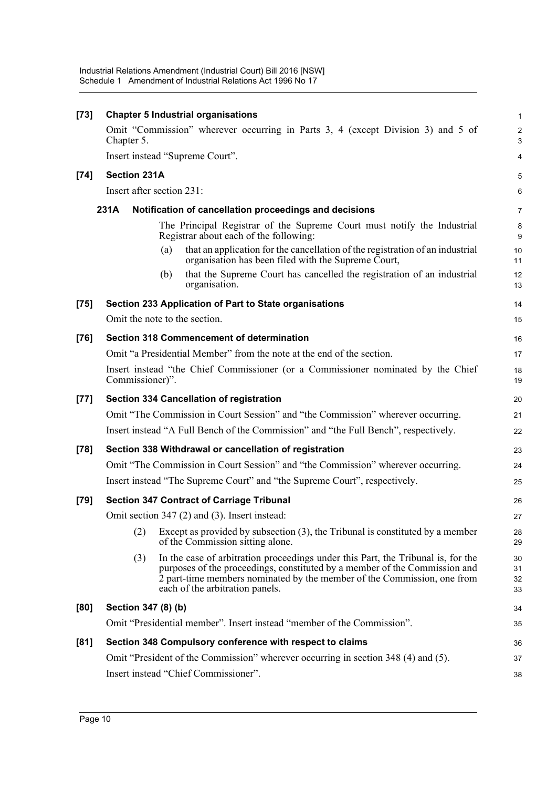| $[73]$ |                           |     | <b>Chapter 5 Industrial organisations</b>                                                                                                                                                                                                                                    | $\mathbf{1}$         |
|--------|---------------------------|-----|------------------------------------------------------------------------------------------------------------------------------------------------------------------------------------------------------------------------------------------------------------------------------|----------------------|
|        | Chapter 5.                |     | Omit "Commission" wherever occurring in Parts 3, 4 (except Division 3) and 5 of                                                                                                                                                                                              | $\overline{2}$<br>3  |
|        |                           |     | Insert instead "Supreme Court".                                                                                                                                                                                                                                              | 4                    |
| $[74]$ | <b>Section 231A</b>       |     |                                                                                                                                                                                                                                                                              | 5                    |
|        | Insert after section 231: |     |                                                                                                                                                                                                                                                                              | 6                    |
|        | 231A                      |     | Notification of cancellation proceedings and decisions                                                                                                                                                                                                                       | $\overline{7}$       |
|        |                           |     | The Principal Registrar of the Supreme Court must notify the Industrial<br>Registrar about each of the following:                                                                                                                                                            | 8<br>9               |
|        |                           | (a) | that an application for the cancellation of the registration of an industrial<br>organisation has been filed with the Supreme Court,                                                                                                                                         | 10<br>11             |
|        |                           | (b) | that the Supreme Court has cancelled the registration of an industrial<br>organisation.                                                                                                                                                                                      | 12<br>13             |
| $[75]$ |                           |     | Section 233 Application of Part to State organisations                                                                                                                                                                                                                       | 14                   |
|        |                           |     | Omit the note to the section.                                                                                                                                                                                                                                                | 15                   |
| $[76]$ |                           |     | <b>Section 318 Commencement of determination</b>                                                                                                                                                                                                                             | 16                   |
|        |                           |     | Omit "a Presidential Member" from the note at the end of the section.                                                                                                                                                                                                        | 17                   |
|        | Commissioner)".           |     | Insert instead "the Chief Commissioner (or a Commissioner nominated by the Chief                                                                                                                                                                                             | 18<br>19             |
| $[77]$ |                           |     | <b>Section 334 Cancellation of registration</b>                                                                                                                                                                                                                              | 20                   |
|        |                           |     | Omit "The Commission in Court Session" and "the Commission" wherever occurring.                                                                                                                                                                                              | 21                   |
|        |                           |     | Insert instead "A Full Bench of the Commission" and "the Full Bench", respectively.                                                                                                                                                                                          | 22                   |
| $[78]$ |                           |     | Section 338 Withdrawal or cancellation of registration                                                                                                                                                                                                                       | 23                   |
|        |                           |     | Omit "The Commission in Court Session" and "the Commission" wherever occurring.                                                                                                                                                                                              | 24                   |
|        |                           |     | Insert instead "The Supreme Court" and "the Supreme Court", respectively.                                                                                                                                                                                                    | 25                   |
| $[79]$ |                           |     | <b>Section 347 Contract of Carriage Tribunal</b>                                                                                                                                                                                                                             | 26                   |
|        |                           |     | Omit section 347 (2) and (3). Insert instead:                                                                                                                                                                                                                                | 27                   |
|        | (2)                       |     | Except as provided by subsection $(3)$ , the Tribunal is constituted by a member<br>of the Commission sitting alone.                                                                                                                                                         | 28<br>29             |
|        | (3)                       |     | In the case of arbitration proceedings under this Part, the Tribunal is, for the<br>purposes of the proceedings, constituted by a member of the Commission and<br>2 part-time members nominated by the member of the Commission, one from<br>each of the arbitration panels. | 30<br>31<br>32<br>33 |
| [80]   | Section 347 (8) (b)       |     |                                                                                                                                                                                                                                                                              | 34                   |
|        |                           |     | Omit "Presidential member". Insert instead "member of the Commission".                                                                                                                                                                                                       | 35                   |
| [81]   |                           |     | Section 348 Compulsory conference with respect to claims                                                                                                                                                                                                                     | 36                   |
|        |                           |     | Omit "President of the Commission" wherever occurring in section 348 (4) and (5).                                                                                                                                                                                            | 37                   |
|        |                           |     | Insert instead "Chief Commissioner".                                                                                                                                                                                                                                         | 38                   |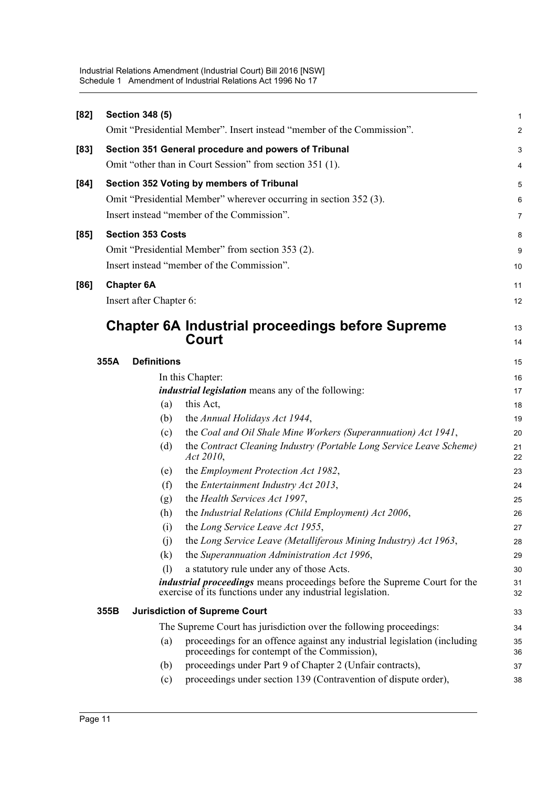| [82] |      | <b>Section 348 (5)</b>   |                                                                                                                                                 | 1                       |
|------|------|--------------------------|-------------------------------------------------------------------------------------------------------------------------------------------------|-------------------------|
|      |      |                          | Omit "Presidential Member". Insert instead "member of the Commission".                                                                          | $\overline{\mathbf{c}}$ |
| [83] |      |                          | Section 351 General procedure and powers of Tribunal                                                                                            | 3                       |
|      |      |                          | Omit "other than in Court Session" from section 351 (1).                                                                                        | 4                       |
| [84] |      |                          | Section 352 Voting by members of Tribunal                                                                                                       | 5                       |
|      |      |                          | Omit "Presidential Member" wherever occurring in section 352 (3).                                                                               | 6                       |
|      |      |                          | Insert instead "member of the Commission".                                                                                                      | 7                       |
| [85] |      | <b>Section 353 Costs</b> |                                                                                                                                                 | 8                       |
|      |      |                          | Omit "Presidential Member" from section 353 (2).                                                                                                | 9                       |
|      |      |                          | Insert instead "member of the Commission".                                                                                                      | 10                      |
|      |      |                          |                                                                                                                                                 |                         |
| [86] |      | <b>Chapter 6A</b>        |                                                                                                                                                 | 11                      |
|      |      | Insert after Chapter 6:  |                                                                                                                                                 | 12                      |
|      |      |                          | <b>Chapter 6A Industrial proceedings before Supreme</b>                                                                                         | 13                      |
|      |      |                          | Court                                                                                                                                           | 14                      |
|      | 355A | <b>Definitions</b>       |                                                                                                                                                 | 15                      |
|      |      |                          | In this Chapter:                                                                                                                                | 16                      |
|      |      |                          | <i>industrial legislation</i> means any of the following:                                                                                       | 17                      |
|      |      | (a)                      | this Act,                                                                                                                                       | 18                      |
|      |      | (b)                      | the Annual Holidays Act 1944,                                                                                                                   | 19                      |
|      |      | (c)                      | the Coal and Oil Shale Mine Workers (Superannuation) Act 1941,                                                                                  | 20                      |
|      |      | (d)                      | the Contract Cleaning Industry (Portable Long Service Leave Scheme)<br>Act 2010,                                                                | 21<br>22                |
|      |      | (e)                      | the Employment Protection Act 1982,                                                                                                             | 23                      |
|      |      | (f)                      | the Entertainment Industry Act 2013,                                                                                                            | 24                      |
|      |      | (g)                      | the Health Services Act 1997,                                                                                                                   | 25                      |
|      |      | (h)                      | the Industrial Relations (Child Employment) Act 2006,                                                                                           | 26                      |
|      |      | (i)                      | the Long Service Leave Act 1955,                                                                                                                | 27                      |
|      |      | (i)                      | the Long Service Leave (Metalliferous Mining Industry) Act 1963,                                                                                | 28                      |
|      |      | (k)                      | the Superannuation Administration Act 1996,                                                                                                     | 29                      |
|      |      | (1)                      | a statutory rule under any of those Acts.                                                                                                       | 30                      |
|      |      |                          | <i>industrial proceedings</i> means proceedings before the Supreme Court for the<br>exercise of its functions under any industrial legislation. | 31<br>32                |
|      | 355B |                          | <b>Jurisdiction of Supreme Court</b>                                                                                                            | 33                      |
|      |      |                          | The Supreme Court has jurisdiction over the following proceedings:                                                                              | 34                      |
|      |      | (a)                      | proceedings for an offence against any industrial legislation (including<br>proceedings for contempt of the Commission),                        | 35<br>36                |
|      |      | (b)                      | proceedings under Part 9 of Chapter 2 (Unfair contracts),                                                                                       | 37                      |
|      |      | (c)                      | proceedings under section 139 (Contravention of dispute order),                                                                                 | 38                      |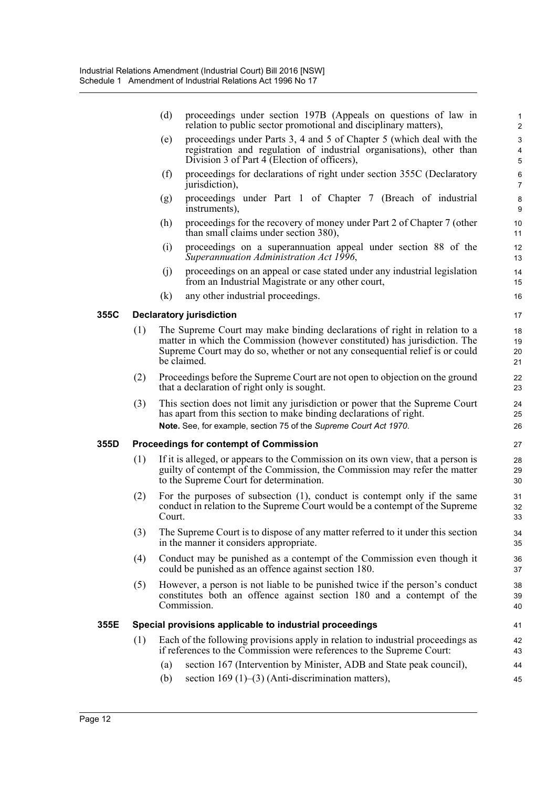|      |     | (d)         | proceedings under section 197B (Appeals on questions of law in<br>relation to public sector promotional and disciplinary matters),                                                                                                      | 1<br>$\overline{2}$                          |
|------|-----|-------------|-----------------------------------------------------------------------------------------------------------------------------------------------------------------------------------------------------------------------------------------|----------------------------------------------|
|      |     | (e)         | proceedings under Parts 3, 4 and 5 of Chapter 5 (which deal with the<br>registration and regulation of industrial organisations), other than<br>Division 3 of Part 4 (Election of officers),                                            | $\mathbf{3}$<br>$\overline{\mathbf{4}}$<br>5 |
|      |     | (f)         | proceedings for declarations of right under section 355C (Declaratory<br>jurisdiction),                                                                                                                                                 | 6<br>$\overline{7}$                          |
|      |     | (g)         | proceedings under Part 1 of Chapter 7 (Breach of industrial<br>instruments),                                                                                                                                                            | 8<br>9                                       |
|      |     | (h)         | proceedings for the recovery of money under Part 2 of Chapter 7 (other<br>than small claims under section 380),                                                                                                                         | 10<br>11                                     |
|      |     | (i)         | proceedings on a superannuation appeal under section 88 of the<br>Superannuation Administration Act 1996,                                                                                                                               | 12<br>13                                     |
|      |     | (j)         | proceedings on an appeal or case stated under any industrial legislation<br>from an Industrial Magistrate or any other court,                                                                                                           | 14<br>15                                     |
|      |     | (k)         | any other industrial proceedings.                                                                                                                                                                                                       | 16                                           |
| 355C |     |             | <b>Declaratory jurisdiction</b>                                                                                                                                                                                                         | 17                                           |
|      | (1) | be claimed. | The Supreme Court may make binding declarations of right in relation to a<br>matter in which the Commission (however constituted) has jurisdiction. The<br>Supreme Court may do so, whether or not any consequential relief is or could | 18<br>19<br>20<br>21                         |
|      | (2) |             | Proceedings before the Supreme Court are not open to objection on the ground<br>that a declaration of right only is sought.                                                                                                             | 22<br>23                                     |
|      | (3) |             | This section does not limit any jurisdiction or power that the Supreme Court<br>has apart from this section to make binding declarations of right.<br>Note. See, for example, section 75 of the Supreme Court Act 1970.                 | 24<br>25<br>26                               |
| 355D |     |             | <b>Proceedings for contempt of Commission</b>                                                                                                                                                                                           | 27                                           |
|      | (1) |             | If it is alleged, or appears to the Commission on its own view, that a person is<br>guilty of contempt of the Commission, the Commission may refer the matter<br>to the Supreme Court for determination.                                | 28<br>29<br>30                               |
|      | (2) | Court.      | For the purposes of subsection $(1)$ , conduct is contempt only if the same<br>conduct in relation to the Supreme Court would be a contempt of the Supreme                                                                              | 31<br>32<br>33                               |
|      | (3) |             | The Supreme Court is to dispose of any matter referred to it under this section<br>in the manner it considers appropriate.                                                                                                              | 34<br>35                                     |
|      | (4) |             | Conduct may be punished as a contempt of the Commission even though it<br>could be punished as an offence against section 180.                                                                                                          | 36<br>37                                     |
|      | (5) | Commission. | However, a person is not liable to be punished twice if the person's conduct<br>constitutes both an offence against section 180 and a contempt of the                                                                                   | 38<br>39<br>40                               |
| 355E |     |             | Special provisions applicable to industrial proceedings                                                                                                                                                                                 | 41                                           |
|      | (1) |             | Each of the following provisions apply in relation to industrial proceedings as<br>if references to the Commission were references to the Supreme Court:                                                                                | 42<br>43                                     |
|      |     | (a)         | section 167 (Intervention by Minister, ADB and State peak council),                                                                                                                                                                     | 44                                           |
|      |     | (b)         | section 169 $(1)$ – $(3)$ (Anti-discrimination matters),                                                                                                                                                                                | 45                                           |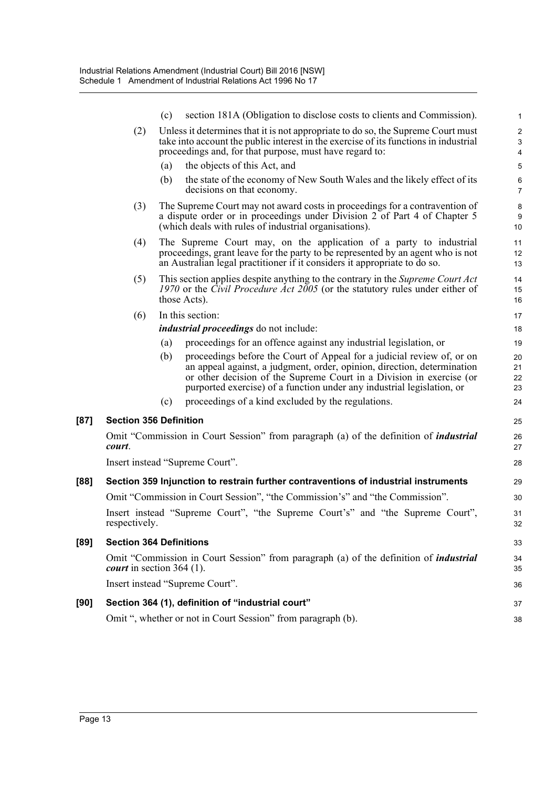|      |                                     | (c) | section 181A (Obligation to disclose costs to clients and Commission).                                                                                                                                                                                                                              | 1                                           |
|------|-------------------------------------|-----|-----------------------------------------------------------------------------------------------------------------------------------------------------------------------------------------------------------------------------------------------------------------------------------------------------|---------------------------------------------|
|      | (2)                                 |     | Unless it determines that it is not appropriate to do so, the Supreme Court must                                                                                                                                                                                                                    | $\overline{c}$                              |
|      |                                     |     | take into account the public interest in the exercise of its functions in industrial<br>proceedings and, for that purpose, must have regard to:                                                                                                                                                     | $\ensuremath{\mathsf{3}}$<br>$\overline{4}$ |
|      |                                     | (a) | the objects of this Act, and                                                                                                                                                                                                                                                                        | 5                                           |
|      |                                     | (b) | the state of the economy of New South Wales and the likely effect of its<br>decisions on that economy.                                                                                                                                                                                              | 6<br>$\overline{7}$                         |
|      | (3)                                 |     | The Supreme Court may not award costs in proceedings for a contravention of<br>a dispute order or in proceedings under Division 2 of Part 4 of Chapter 5<br>(which deals with rules of industrial organisations).                                                                                   | 8<br>$\boldsymbol{9}$<br>10                 |
|      | (4)                                 |     | The Supreme Court may, on the application of a party to industrial<br>proceedings, grant leave for the party to be represented by an agent who is not<br>an Australian legal practitioner if it considers it appropriate to do so.                                                                  | 11<br>12<br>13                              |
|      | (5)                                 |     | This section applies despite anything to the contrary in the Supreme Court Act<br>1970 or the Civil Procedure Act 2005 (or the statutory rules under either of<br>those Acts).                                                                                                                      | 14<br>15<br>16                              |
|      | (6)                                 |     | In this section:                                                                                                                                                                                                                                                                                    | 17                                          |
|      |                                     |     | <i>industrial proceedings</i> do not include:                                                                                                                                                                                                                                                       | 18                                          |
|      |                                     | (a) | proceedings for an offence against any industrial legislation, or                                                                                                                                                                                                                                   | 19                                          |
|      |                                     | (b) | proceedings before the Court of Appeal for a judicial review of, or on<br>an appeal against, a judgment, order, opinion, direction, determination<br>or other decision of the Supreme Court in a Division in exercise (or<br>purported exercise) of a function under any industrial legislation, or | 20<br>21<br>22<br>23                        |
|      |                                     | (c) | proceedings of a kind excluded by the regulations.                                                                                                                                                                                                                                                  | 24                                          |
| [87] | <b>Section 356 Definition</b>       |     |                                                                                                                                                                                                                                                                                                     | 25                                          |
|      | court.                              |     | Omit "Commission in Court Session" from paragraph (a) of the definition of <i>industrial</i>                                                                                                                                                                                                        | 26<br>27                                    |
|      |                                     |     | Insert instead "Supreme Court".                                                                                                                                                                                                                                                                     | 28                                          |
| [88] |                                     |     | Section 359 Injunction to restrain further contraventions of industrial instruments                                                                                                                                                                                                                 | 29                                          |
|      |                                     |     | Omit "Commission in Court Session", "the Commission's" and "the Commission".                                                                                                                                                                                                                        | 30                                          |
|      | respectively.                       |     | Insert instead "Supreme Court", "the Supreme Court's" and "the Supreme Court",                                                                                                                                                                                                                      | 31<br>32                                    |
| [89] | <b>Section 364 Definitions</b>      |     |                                                                                                                                                                                                                                                                                                     | 33                                          |
|      | <i>court</i> in section 364 $(1)$ . |     | Omit "Commission in Court Session" from paragraph (a) of the definition of <i>industrial</i>                                                                                                                                                                                                        | 34<br>35                                    |
|      |                                     |     | Insert instead "Supreme Court".                                                                                                                                                                                                                                                                     | 36                                          |
| [90] |                                     |     | Section 364 (1), definition of "industrial court"                                                                                                                                                                                                                                                   | 37                                          |
|      |                                     |     | Omit ", whether or not in Court Session" from paragraph (b).                                                                                                                                                                                                                                        | 38                                          |

[87]

**[89]**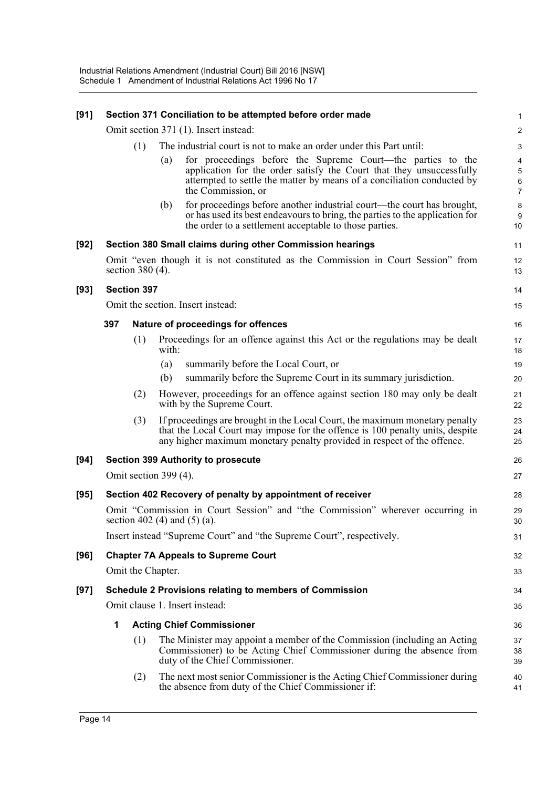| [91]   |     |                       |       | Section 371 Conciliation to be attempted before order made                                                                                                                                                                              | 1                                                   |
|--------|-----|-----------------------|-------|-----------------------------------------------------------------------------------------------------------------------------------------------------------------------------------------------------------------------------------------|-----------------------------------------------------|
|        |     |                       |       | Omit section 371 (1). Insert instead:                                                                                                                                                                                                   | $\overline{\mathbf{c}}$                             |
|        |     | (1)                   |       | The industrial court is not to make an order under this Part until:                                                                                                                                                                     | 3                                                   |
|        |     |                       | (a)   | for proceedings before the Supreme Court—the parties to the<br>application for the order satisfy the Court that they unsuccessfully<br>attempted to settle the matter by means of a conciliation conducted by<br>the Commission, or     | $\overline{\mathbf{4}}$<br>5<br>6<br>$\overline{7}$ |
|        |     |                       | (b)   | for proceedings before another industrial court—the court has brought,<br>or has used its best endeavours to bring, the parties to the application for<br>the order to a settlement acceptable to those parties.                        | $\bf 8$<br>9<br>10                                  |
| $[92]$ |     |                       |       | Section 380 Small claims during other Commission hearings                                                                                                                                                                               | 11                                                  |
|        |     | section $380(4)$ .    |       | Omit "even though it is not constituted as the Commission in Court Session" from                                                                                                                                                        | 12<br>13                                            |
| $[93]$ |     | <b>Section 397</b>    |       |                                                                                                                                                                                                                                         | 14                                                  |
|        |     |                       |       | Omit the section. Insert instead:                                                                                                                                                                                                       | 15                                                  |
|        | 397 |                       |       | Nature of proceedings for offences                                                                                                                                                                                                      | 16                                                  |
|        |     | (1)                   | with: | Proceedings for an offence against this Act or the regulations may be dealt                                                                                                                                                             | 17<br>18                                            |
|        |     |                       | (a)   | summarily before the Local Court, or                                                                                                                                                                                                    | 19                                                  |
|        |     |                       | (b)   | summarily before the Supreme Court in its summary jurisdiction.                                                                                                                                                                         | 20                                                  |
|        |     | (2)                   |       | However, proceedings for an offence against section 180 may only be dealt<br>with by the Supreme Court.                                                                                                                                 | 21<br>22                                            |
|        |     | (3)                   |       | If proceedings are brought in the Local Court, the maximum monetary penalty<br>that the Local Court may impose for the offence is 100 penalty units, despite<br>any higher maximum monetary penalty provided in respect of the offence. | 23<br>24<br>25                                      |
| $[94]$ |     |                       |       | <b>Section 399 Authority to prosecute</b>                                                                                                                                                                                               | 26                                                  |
|        |     | Omit section 399 (4). |       |                                                                                                                                                                                                                                         | 27                                                  |
| [95]   |     |                       |       | Section 402 Recovery of penalty by appointment of receiver                                                                                                                                                                              | 28                                                  |
|        |     |                       |       | Omit "Commission in Court Session" and "the Commission" wherever occurring in<br>section 402 (4) and (5) (a).                                                                                                                           | 29<br>30                                            |
|        |     |                       |       | Insert instead "Supreme Court" and "the Supreme Court", respectively.                                                                                                                                                                   | 31                                                  |
| [96]   |     |                       |       | <b>Chapter 7A Appeals to Supreme Court</b>                                                                                                                                                                                              | 32                                                  |
|        |     | Omit the Chapter.     |       |                                                                                                                                                                                                                                         | 33                                                  |
| $[97]$ |     |                       |       | Schedule 2 Provisions relating to members of Commission                                                                                                                                                                                 | 34                                                  |
|        |     |                       |       | Omit clause 1. Insert instead:                                                                                                                                                                                                          | 35                                                  |
|        | 1   |                       |       | <b>Acting Chief Commissioner</b>                                                                                                                                                                                                        | 36                                                  |
|        |     | (1)                   |       | The Minister may appoint a member of the Commission (including an Acting<br>Commissioner) to be Acting Chief Commissioner during the absence from<br>duty of the Chief Commissioner.                                                    | 37<br>38<br>39                                      |
|        |     | (2)                   |       | The next most senior Commissioner is the Acting Chief Commissioner during<br>the absence from duty of the Chief Commissioner if:                                                                                                        | 40<br>41                                            |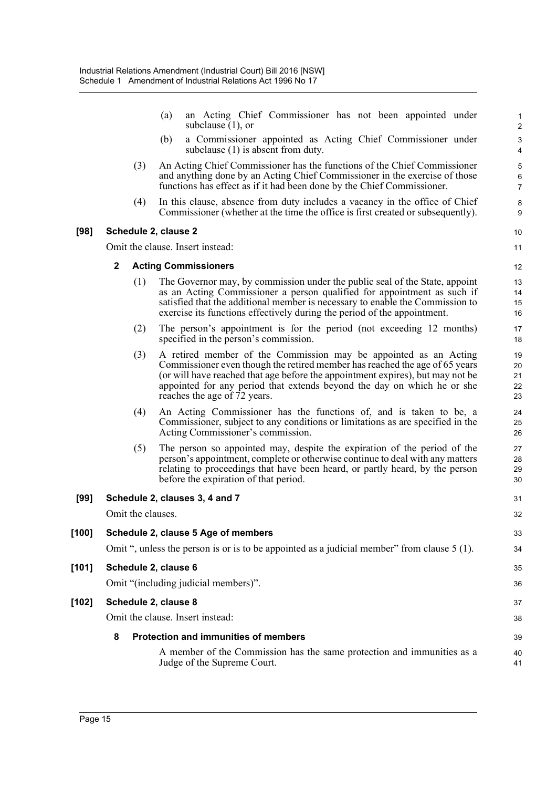|         |                      | an Acting Chief Commissioner has not been appointed under<br>(a)<br>subclause $(1)$ , or                                                                                                                                                                                                                                                     | 1<br>$\overline{2}$            |
|---------|----------------------|----------------------------------------------------------------------------------------------------------------------------------------------------------------------------------------------------------------------------------------------------------------------------------------------------------------------------------------------|--------------------------------|
|         |                      | a Commissioner appointed as Acting Chief Commissioner under<br>(b)<br>subclause (1) is absent from duty.                                                                                                                                                                                                                                     | $\ensuremath{\mathsf{3}}$<br>4 |
|         | (3)                  | An Acting Chief Commissioner has the functions of the Chief Commissioner<br>and anything done by an Acting Chief Commissioner in the exercise of those<br>functions has effect as if it had been done by the Chief Commissioner.                                                                                                             | 5<br>6<br>$\overline{7}$       |
|         | (4)                  | In this clause, absence from duty includes a vacancy in the office of Chief<br>Commissioner (whether at the time the office is first created or subsequently).                                                                                                                                                                               | 8<br>9                         |
| $[98]$  | Schedule 2, clause 2 |                                                                                                                                                                                                                                                                                                                                              | 10                             |
|         |                      | Omit the clause. Insert instead:                                                                                                                                                                                                                                                                                                             | 11                             |
|         | $\mathbf 2$          | <b>Acting Commissioners</b>                                                                                                                                                                                                                                                                                                                  | 12                             |
|         | (1)                  | The Governor may, by commission under the public seal of the State, appoint<br>as an Acting Commissioner a person qualified for appointment as such if<br>satisfied that the additional member is necessary to enable the Commission to<br>exercise its functions effectively during the period of the appointment.                          | 13<br>14<br>15<br>16           |
|         | (2)                  | The person's appointment is for the period (not exceeding 12 months)<br>specified in the person's commission.                                                                                                                                                                                                                                | 17<br>18                       |
|         | (3)                  | A retired member of the Commission may be appointed as an Acting<br>Commissioner even though the retired member has reached the age of 65 years<br>(or will have reached that age before the appointment expires), but may not be<br>appointed for any period that extends beyond the day on which he or she<br>reaches the age of 72 years. | 19<br>20<br>21<br>22<br>23     |
|         | (4)                  | An Acting Commissioner has the functions of, and is taken to be, a<br>Commissioner, subject to any conditions or limitations as are specified in the<br>Acting Commissioner's commission.                                                                                                                                                    | 24<br>25<br>26                 |
|         | (5)                  | The person so appointed may, despite the expiration of the period of the<br>person's appointment, complete or otherwise continue to deal with any matters<br>relating to proceedings that have been heard, or partly heard, by the person<br>before the expiration of that period.                                                           | 27<br>28<br>29<br>30           |
| $[99]$  |                      | Schedule 2, clauses 3, 4 and 7                                                                                                                                                                                                                                                                                                               | 31                             |
|         | Omit the clauses.    |                                                                                                                                                                                                                                                                                                                                              | 32                             |
| $[100]$ |                      | Schedule 2, clause 5 Age of members                                                                                                                                                                                                                                                                                                          | 33                             |
|         |                      | Omit ", unless the person is or is to be appointed as a judicial member" from clause 5 (1).                                                                                                                                                                                                                                                  | 34                             |
| [101]   | Schedule 2, clause 6 |                                                                                                                                                                                                                                                                                                                                              | 35                             |
|         |                      | Omit "(including judicial members)".                                                                                                                                                                                                                                                                                                         | 36                             |
| $[102]$ | Schedule 2, clause 8 |                                                                                                                                                                                                                                                                                                                                              | 37                             |
|         |                      | Omit the clause. Insert instead:                                                                                                                                                                                                                                                                                                             | 38                             |
|         | 8                    | <b>Protection and immunities of members</b>                                                                                                                                                                                                                                                                                                  | 39                             |
|         |                      | A member of the Commission has the same protection and immunities as a<br>Judge of the Supreme Court.                                                                                                                                                                                                                                        | 40<br>41                       |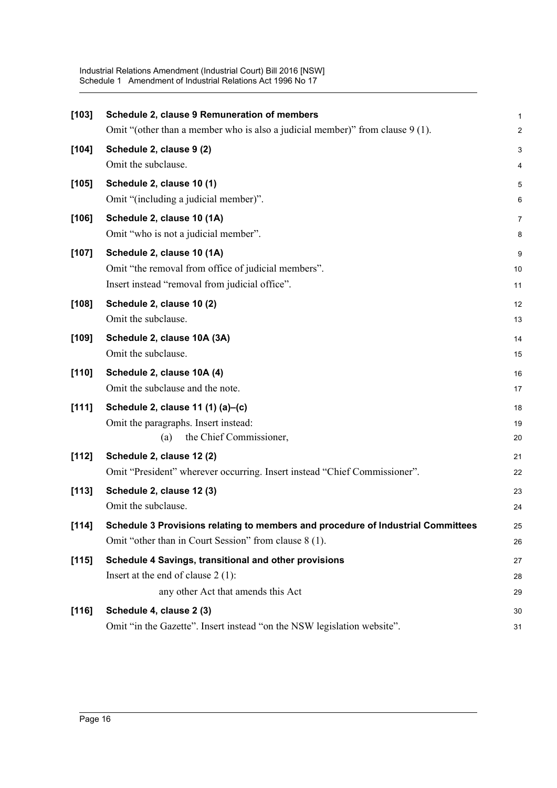| $[103]$ | Schedule 2, clause 9 Remuneration of members                                     | $\mathbf 1$    |
|---------|----------------------------------------------------------------------------------|----------------|
|         | Omit "(other than a member who is also a judicial member)" from clause $9(1)$ .  | $\overline{2}$ |
| $[104]$ | Schedule 2, clause 9 (2)                                                         | 3              |
|         | Omit the subclause.                                                              | 4              |
| [105]   | Schedule 2, clause 10 (1)                                                        | 5              |
|         | Omit "(including a judicial member)".                                            | 6              |
| [106]   | Schedule 2, clause 10 (1A)                                                       | 7              |
|         | Omit "who is not a judicial member".                                             | 8              |
| $[107]$ | Schedule 2, clause 10 (1A)                                                       | 9              |
|         | Omit "the removal from office of judicial members".                              | 10             |
|         | Insert instead "removal from judicial office".                                   | 11             |
| $[108]$ | Schedule 2, clause 10 (2)                                                        | 12             |
|         | Omit the subclause.                                                              | 13             |
| [109]   | Schedule 2, clause 10A (3A)                                                      | 14             |
|         | Omit the subclause.                                                              | 15             |
| [110]   | Schedule 2, clause 10A (4)                                                       | 16             |
|         | Omit the subclause and the note.                                                 | 17             |
| [111]   | Schedule 2, clause 11 (1) (a)-(c)                                                | 18             |
|         | Omit the paragraphs. Insert instead:                                             | 19             |
|         | the Chief Commissioner,<br>(a)                                                   | 20             |
| [112]   | Schedule 2, clause 12 (2)                                                        | 21             |
|         | Omit "President" wherever occurring. Insert instead "Chief Commissioner".        | 22             |
| [113]   | Schedule 2, clause 12 (3)                                                        | 23             |
|         | Omit the subclause.                                                              | 24             |
| [114]   | Schedule 3 Provisions relating to members and procedure of Industrial Committees | 25             |
|         | Omit "other than in Court Session" from clause 8 (1).                            | 26             |
| [115]   | Schedule 4 Savings, transitional and other provisions                            | 27             |
|         | Insert at the end of clause $2(1)$ :                                             | 28             |
|         | any other Act that amends this Act                                               | 29             |
| [116]   | Schedule 4, clause 2 (3)                                                         | 30             |
|         | Omit "in the Gazette". Insert instead "on the NSW legislation website".          | 31             |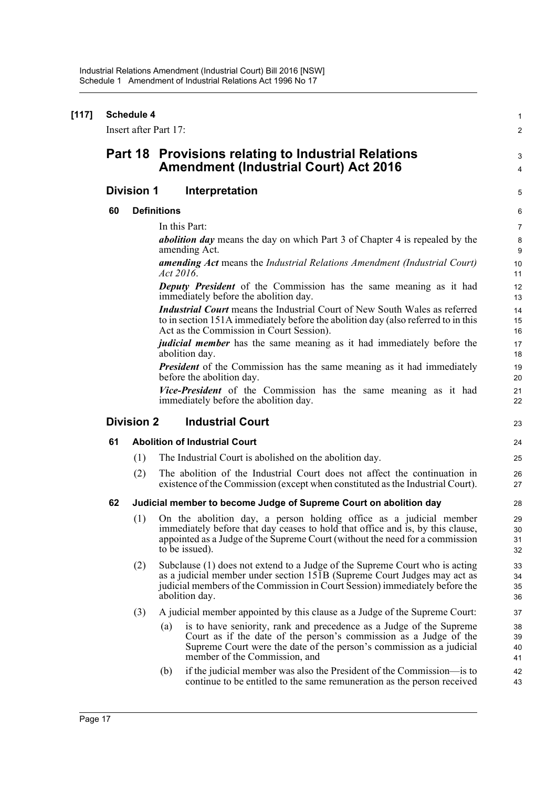| [117] | <b>Schedule 4</b><br>Insert after Part 17: |                   |                                                                                                                                                                                                                                                          |                      |  |
|-------|--------------------------------------------|-------------------|----------------------------------------------------------------------------------------------------------------------------------------------------------------------------------------------------------------------------------------------------------|----------------------|--|
|       |                                            |                   | Part 18 Provisions relating to Industrial Relations<br><b>Amendment (Industrial Court) Act 2016</b>                                                                                                                                                      | 3<br>4               |  |
|       |                                            | <b>Division 1</b> | Interpretation                                                                                                                                                                                                                                           | 5                    |  |
|       | 60                                         |                   | <b>Definitions</b>                                                                                                                                                                                                                                       | 6                    |  |
|       |                                            |                   | In this Part:                                                                                                                                                                                                                                            | 7                    |  |
|       |                                            |                   | <i>abolition day</i> means the day on which Part 3 of Chapter 4 is repealed by the<br>amending Act.                                                                                                                                                      | 8<br>9               |  |
|       |                                            |                   | <b>amending Act</b> means the Industrial Relations Amendment (Industrial Court)<br>Act 2016.                                                                                                                                                             | 10<br>11             |  |
|       |                                            |                   | <b>Deputy President</b> of the Commission has the same meaning as it had<br>immediately before the abolition day.                                                                                                                                        | 12<br>13             |  |
|       |                                            |                   | <b>Industrial Court</b> means the Industrial Court of New South Wales as referred<br>to in section 151A immediately before the abolition day (also referred to in this<br>Act as the Commission in Court Session).                                       | 14<br>15<br>16       |  |
|       |                                            |                   | <i>judicial member</i> has the same meaning as it had immediately before the<br>abolition day.                                                                                                                                                           | 17<br>18             |  |
|       |                                            |                   | <b>President</b> of the Commission has the same meaning as it had immediately<br>before the abolition day.                                                                                                                                               | 19<br>20             |  |
|       |                                            |                   | Vice-President of the Commission has the same meaning as it had<br>immediately before the abolition day.                                                                                                                                                 | 21<br>22             |  |
|       |                                            | <b>Division 2</b> | <b>Industrial Court</b>                                                                                                                                                                                                                                  | 23                   |  |
|       | 61                                         |                   | <b>Abolition of Industrial Court</b>                                                                                                                                                                                                                     | 24                   |  |
|       |                                            | (1)               | The Industrial Court is abolished on the abolition day.                                                                                                                                                                                                  | 25                   |  |
|       |                                            | (2)               | The abolition of the Industrial Court does not affect the continuation in<br>existence of the Commission (except when constituted as the Industrial Court).                                                                                              | 26<br>27             |  |
|       | 62                                         |                   | Judicial member to become Judge of Supreme Court on abolition day                                                                                                                                                                                        | 28                   |  |
|       |                                            | (1)               | On the abolition day, a person holding office as a judicial member<br>immediately before that day ceases to hold that office and is, by this clause,<br>appointed as a Judge of the Supreme Court (without the need for a commission<br>to be issued).   | 29<br>30<br>31<br>32 |  |
|       |                                            | (2)               | Subclause (1) does not extend to a Judge of the Supreme Court who is acting<br>as a judicial member under section 151B (Supreme Court Judges may act as<br>judicial members of the Commission in Court Session) immediately before the<br>abolition day. | 33<br>34<br>35<br>36 |  |
|       |                                            | (3)               | A judicial member appointed by this clause as a Judge of the Supreme Court:                                                                                                                                                                              | 37                   |  |
|       |                                            |                   | is to have seniority, rank and precedence as a Judge of the Supreme<br>(a)<br>Court as if the date of the person's commission as a Judge of the<br>Supreme Court were the date of the person's commission as a judicial<br>member of the Commission, and | 38<br>39<br>40<br>41 |  |
|       |                                            |                   | if the judicial member was also the President of the Commission-is to<br>(b)<br>continue to be entitled to the same remuneration as the person received                                                                                                  | 42<br>43             |  |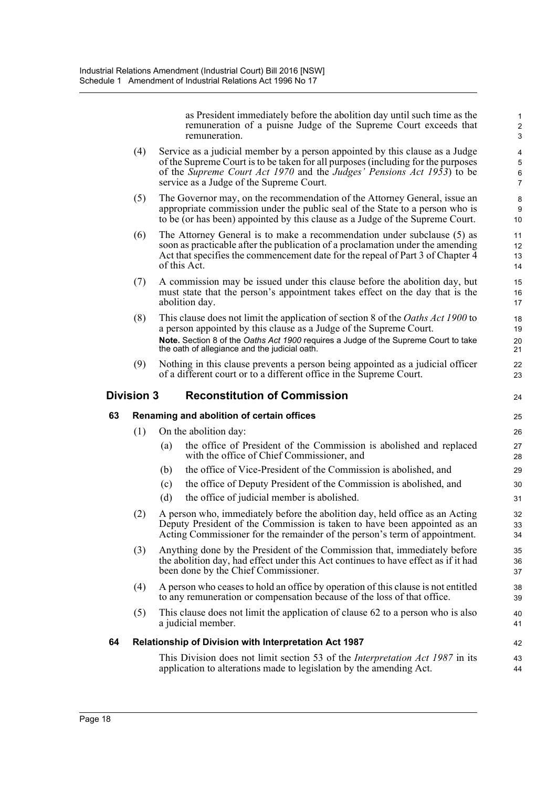as President immediately before the abolition day until such time as the remuneration of a puisne Judge of the Supreme Court exceeds that remuneration.

- (4) Service as a judicial member by a person appointed by this clause as a Judge of the Supreme Court is to be taken for all purposes (including for the purposes of the *Supreme Court Act 1970* and the *Judges' Pensions Act 1953*) to be service as a Judge of the Supreme Court.
- (5) The Governor may, on the recommendation of the Attorney General, issue an appropriate commission under the public seal of the State to a person who is to be (or has been) appointed by this clause as a Judge of the Supreme Court.
- (6) The Attorney General is to make a recommendation under subclause (5) as soon as practicable after the publication of a proclamation under the amending Act that specifies the commencement date for the repeal of Part 3 of Chapter 4 of this Act.
- (7) A commission may be issued under this clause before the abolition day, but must state that the person's appointment takes effect on the day that is the abolition day.
- (8) This clause does not limit the application of section 8 of the *Oaths Act 1900* to a person appointed by this clause as a Judge of the Supreme Court. **Note.** Section 8 of the *Oaths Act 1900* requires a Judge of the Supreme Court to take the oath of allegiance and the judicial oath.
- (9) Nothing in this clause prevents a person being appointed as a judicial officer of a different court or to a different office in the Supreme Court.

### **Division 3 Reconstitution of Commission**

|    | Division 3                                | <b>Reconstitution of Commission</b>                                                                                                                                                                                                    | 24             |  |
|----|-------------------------------------------|----------------------------------------------------------------------------------------------------------------------------------------------------------------------------------------------------------------------------------------|----------------|--|
| 63 | Renaming and abolition of certain offices |                                                                                                                                                                                                                                        |                |  |
|    | (1)                                       | On the abolition day:                                                                                                                                                                                                                  | 26             |  |
|    |                                           | the office of President of the Commission is abolished and replaced<br>(a)<br>with the office of Chief Commissioner, and                                                                                                               | 27<br>28       |  |
|    |                                           | the office of Vice-President of the Commission is abolished, and<br>(b)                                                                                                                                                                | 29             |  |
|    |                                           | the office of Deputy President of the Commission is abolished, and<br>(c)                                                                                                                                                              | 30             |  |
|    |                                           | (d)<br>the office of judicial member is abolished.                                                                                                                                                                                     | 31             |  |
|    | (2)                                       | A person who, immediately before the abolition day, held office as an Acting<br>Deputy President of the Commission is taken to have been appointed as an<br>Acting Commissioner for the remainder of the person's term of appointment. | 32<br>33<br>34 |  |
|    | (3)                                       | Anything done by the President of the Commission that, immediately before<br>the abolition day, had effect under this Act continues to have effect as if it had<br>been done by the Chief Commissioner.                                | 35<br>36<br>37 |  |
|    | (4)                                       | A person who ceases to hold an office by operation of this clause is not entitled<br>to any remuneration or compensation because of the loss of that office.                                                                           | 38<br>39       |  |
|    | (5)                                       | This clause does not limit the application of clause 62 to a person who is also<br>a judicial member.                                                                                                                                  | 40<br>41       |  |
| 64 |                                           | <b>Relationship of Division with Interpretation Act 1987</b>                                                                                                                                                                           | 42             |  |
|    |                                           | This Division does not limit section 53 of the <i>Interpretation Act 1987</i> in its<br>application to alterations made to legislation by the amending Act.                                                                            | 43<br>44       |  |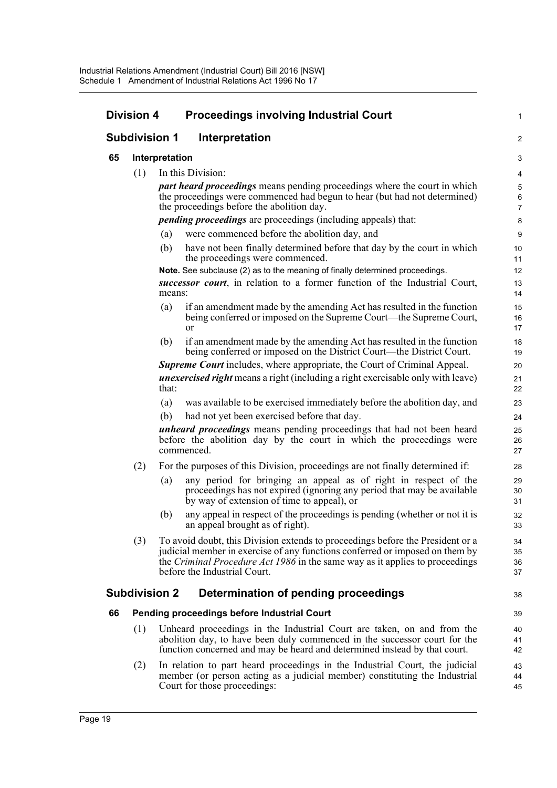|    | <b>Division 4</b>    |                | <b>Proceedings involving Industrial Court</b>                                                                                                                                                                                                                                         | 1                        |
|----|----------------------|----------------|---------------------------------------------------------------------------------------------------------------------------------------------------------------------------------------------------------------------------------------------------------------------------------------|--------------------------|
|    | <b>Subdivision 1</b> |                | Interpretation                                                                                                                                                                                                                                                                        | $\overline{c}$           |
| 65 |                      | Interpretation |                                                                                                                                                                                                                                                                                       | 3                        |
|    | (1)                  |                | In this Division:                                                                                                                                                                                                                                                                     | 4                        |
|    |                      |                | <i>part heard proceedings</i> means pending proceedings where the court in which<br>the proceedings were commenced had begun to hear (but had not determined)<br>the proceedings before the abolition day.                                                                            | 5<br>6<br>$\overline{7}$ |
|    |                      |                | <i>pending proceedings</i> are proceedings (including appeals) that:                                                                                                                                                                                                                  | 8                        |
|    |                      | (a)            | were commenced before the abolition day, and                                                                                                                                                                                                                                          | 9                        |
|    |                      | (b)            | have not been finally determined before that day by the court in which<br>the proceedings were commenced.                                                                                                                                                                             | 10<br>11                 |
|    |                      |                | Note. See subclause (2) as to the meaning of finally determined proceedings.                                                                                                                                                                                                          | 12                       |
|    |                      | means:         | successor court, in relation to a former function of the Industrial Court,                                                                                                                                                                                                            | 13<br>14                 |
|    |                      | (a)            | if an amendment made by the amending Act has resulted in the function<br>being conferred or imposed on the Supreme Court—the Supreme Court,<br><sub>or</sub>                                                                                                                          | 15<br>16<br>17           |
|    |                      | (b)            | if an amendment made by the amending Act has resulted in the function<br>being conferred or imposed on the District Court—the District Court.                                                                                                                                         | 18<br>19                 |
|    |                      |                | <b>Supreme Court</b> includes, where appropriate, the Court of Criminal Appeal.                                                                                                                                                                                                       | 20                       |
|    |                      | that:          | <i>unexercised right</i> means a right (including a right exercisable only with leave)                                                                                                                                                                                                | 21<br>22                 |
|    |                      | (a)            | was available to be exercised immediately before the abolition day, and                                                                                                                                                                                                               | 23                       |
|    |                      | (b)            | had not yet been exercised before that day.                                                                                                                                                                                                                                           | 24                       |
|    |                      |                | unheard proceedings means pending proceedings that had not been heard<br>before the abolition day by the court in which the proceedings were<br>commenced.                                                                                                                            | 25<br>26<br>27           |
|    | (2)                  |                | For the purposes of this Division, proceedings are not finally determined if:                                                                                                                                                                                                         | 28                       |
|    |                      | (a)            | any period for bringing an appeal as of right in respect of the<br>proceedings has not expired (ignoring any period that may be available<br>by way of extension of time to appeal), or                                                                                               | 29<br>30<br>31           |
|    |                      | (b)            | any appeal in respect of the proceedings is pending (whether or not it is<br>an appeal brought as of right).                                                                                                                                                                          | 32<br>33                 |
|    | (3)                  |                | To avoid doubt, this Division extends to proceedings before the President or a<br>judicial member in exercise of any functions conferred or imposed on them by<br>the <i>Criminal Procedure Act 1986</i> in the same way as it applies to proceedings<br>before the Industrial Court. | 34<br>35<br>36<br>37     |
|    | <b>Subdivision 2</b> |                | Determination of pending proceedings                                                                                                                                                                                                                                                  | 38                       |
| 66 |                      |                | Pending proceedings before Industrial Court                                                                                                                                                                                                                                           | 39                       |
|    | (1)                  |                | Unheard proceedings in the Industrial Court are taken, on and from the<br>abolition day, to have been duly commenced in the successor court for the<br>function concerned and may be heard and determined instead by that court.                                                      | 40<br>41<br>42           |
|    | (2)                  |                | In relation to part heard proceedings in the Industrial Court, the judicial<br>member (or person acting as a judicial member) constituting the Industrial<br>Court for those proceedings:                                                                                             | 43<br>44<br>45           |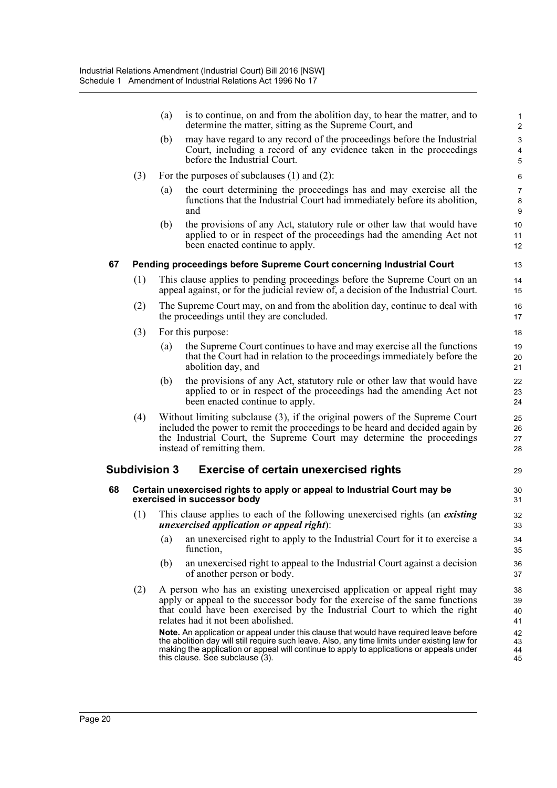|    |     | (a)                  | is to continue, on and from the abolition day, to hear the matter, and to<br>determine the matter, sitting as the Supreme Court, and                                                                                                                                                                                   | $\mathbf{1}$<br>$\overline{2}$ |
|----|-----|----------------------|------------------------------------------------------------------------------------------------------------------------------------------------------------------------------------------------------------------------------------------------------------------------------------------------------------------------|--------------------------------|
|    |     | (b)                  | may have regard to any record of the proceedings before the Industrial<br>Court, including a record of any evidence taken in the proceedings<br>before the Industrial Court.                                                                                                                                           | 3<br>$\overline{4}$<br>5       |
|    | (3) |                      | For the purposes of subclauses $(1)$ and $(2)$ :                                                                                                                                                                                                                                                                       | 6                              |
|    |     | (a)                  | the court determining the proceedings has and may exercise all the<br>functions that the Industrial Court had immediately before its abolition,<br>and                                                                                                                                                                 | 7<br>8<br>9                    |
|    |     | (b)                  | the provisions of any Act, statutory rule or other law that would have<br>applied to or in respect of the proceedings had the amending Act not<br>been enacted continue to apply.                                                                                                                                      | 10<br>11<br>12                 |
| 67 |     |                      | Pending proceedings before Supreme Court concerning Industrial Court                                                                                                                                                                                                                                                   | 13                             |
|    | (1) |                      | This clause applies to pending proceedings before the Supreme Court on an<br>appeal against, or for the judicial review of, a decision of the Industrial Court.                                                                                                                                                        | 14<br>15                       |
|    | (2) |                      | The Supreme Court may, on and from the abolition day, continue to deal with<br>the proceedings until they are concluded.                                                                                                                                                                                               | 16<br>17                       |
|    | (3) |                      | For this purpose:                                                                                                                                                                                                                                                                                                      | 18                             |
|    |     | (a)                  | the Supreme Court continues to have and may exercise all the functions<br>that the Court had in relation to the proceedings immediately before the<br>abolition day, and                                                                                                                                               | 19<br>20<br>21                 |
|    |     | (b)                  | the provisions of any Act, statutory rule or other law that would have<br>applied to or in respect of the proceedings had the amending Act not<br>been enacted continue to apply.                                                                                                                                      | 22<br>23<br>24                 |
|    | (4) |                      | Without limiting subclause (3), if the original powers of the Supreme Court<br>included the power to remit the proceedings to be heard and decided again by<br>the Industrial Court, the Supreme Court may determine the proceedings<br>instead of remitting them.                                                     | 25<br>26<br>27<br>28           |
|    |     | <b>Subdivision 3</b> | <b>Exercise of certain unexercised rights</b>                                                                                                                                                                                                                                                                          | 29                             |
| 68 |     |                      | Certain unexercised rights to apply or appeal to Industrial Court may be<br>exercised in successor body                                                                                                                                                                                                                | 30<br>31                       |
|    | (1) |                      | This clause applies to each of the following unexercised rights (an existing<br><i>unexercised application or appeal right</i> ):                                                                                                                                                                                      | 32<br>33                       |
|    |     | (a)                  | an unexercised right to apply to the Industrial Court for it to exercise a<br>function,                                                                                                                                                                                                                                | 34<br>35                       |
|    |     | (b)                  | an unexercised right to appeal to the Industrial Court against a decision<br>of another person or body.                                                                                                                                                                                                                | 36<br>37                       |
|    | (2) |                      | A person who has an existing unexercised application or appeal right may<br>apply or appeal to the successor body for the exercise of the same functions<br>that could have been exercised by the Industrial Court to which the right<br>relates had it not been abolished.                                            | 38<br>39<br>40<br>41           |
|    |     |                      | Note. An application or appeal under this clause that would have required leave before<br>the abolition day will still require such leave. Also, any time limits under existing law for<br>making the application or appeal will continue to apply to applications or appeals under<br>this clause. See subclause (3). | 42<br>43<br>44<br>45           |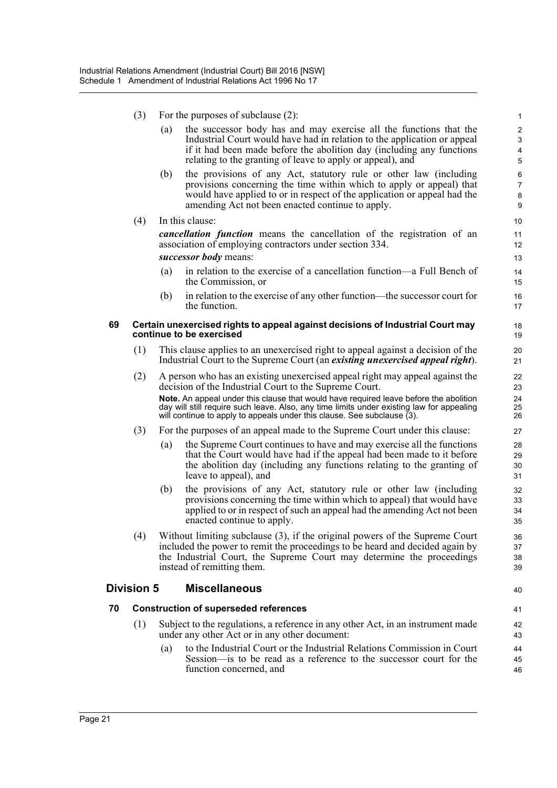- (3) For the purposes of subclause (2):
	- (a) the successor body has and may exercise all the functions that the Industrial Court would have had in relation to the application or appeal if it had been made before the abolition day (including any functions relating to the granting of leave to apply or appeal), and

40

- (b) the provisions of any Act, statutory rule or other law (including provisions concerning the time within which to apply or appeal) that would have applied to or in respect of the application or appeal had the amending Act not been enacted continue to apply.
- (4) In this clause:

*cancellation function* means the cancellation of the registration of an association of employing contractors under section 334.

*successor body* means:

- (a) in relation to the exercise of a cancellation function—a Full Bench of the Commission, or
- (b) in relation to the exercise of any other function—the successor court for the function.

#### **69 Certain unexercised rights to appeal against decisions of Industrial Court may continue to be exercised**

- (1) This clause applies to an unexercised right to appeal against a decision of the Industrial Court to the Supreme Court (an *existing unexercised appeal right*).
- (2) A person who has an existing unexercised appeal right may appeal against the decision of the Industrial Court to the Supreme Court. **Note.** An appeal under this clause that would have required leave before the abolition day will still require such leave. Also, any time limits under existing law for appealing will continue to apply to appeals under this clause. See subclause (3).
- (3) For the purposes of an appeal made to the Supreme Court under this clause:
	- (a) the Supreme Court continues to have and may exercise all the functions that the Court would have had if the appeal had been made to it before the abolition day (including any functions relating to the granting of leave to appeal), and
	- (b) the provisions of any Act, statutory rule or other law (including provisions concerning the time within which to appeal) that would have applied to or in respect of such an appeal had the amending Act not been enacted continue to apply.
- (4) Without limiting subclause (3), if the original powers of the Supreme Court included the power to remit the proceedings to be heard and decided again by the Industrial Court, the Supreme Court may determine the proceedings instead of remitting them.

### **Division 5 Miscellaneous**

#### **70 Construction of superseded references**

- (1) Subject to the regulations, a reference in any other Act, in an instrument made under any other Act or in any other document:
	- (a) to the Industrial Court or the Industrial Relations Commission in Court Session—is to be read as a reference to the successor court for the function concerned, and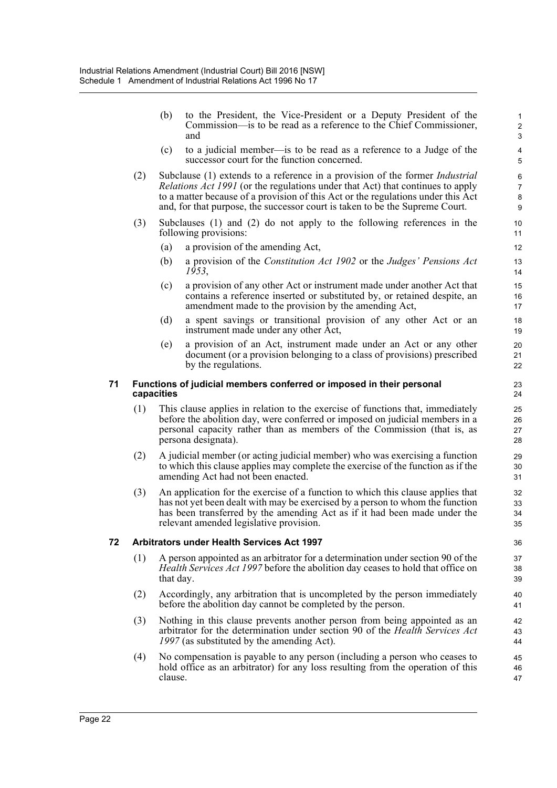(b) to the President, the Vice-President or a Deputy President of the Commission—is to be read as a reference to the Chief Commissioner, and (c) to a judicial member—is to be read as a reference to a Judge of the successor court for the function concerned. (2) Subclause (1) extends to a reference in a provision of the former *Industrial Relations Act 1991* (or the regulations under that Act) that continues to apply to a matter because of a provision of this Act or the regulations under this Act and, for that purpose, the successor court is taken to be the Supreme Court. (3) Subclauses (1) and (2) do not apply to the following references in the following provisions: (a) a provision of the amending Act, (b) a provision of the *Constitution Act 1902* or the *Judges' Pensions Act 1953*, (c) a provision of any other Act or instrument made under another Act that contains a reference inserted or substituted by, or retained despite, an amendment made to the provision by the amending Act, (d) a spent savings or transitional provision of any other Act or an instrument made under any other Act, (e) a provision of an Act, instrument made under an Act or any other document (or a provision belonging to a class of provisions) prescribed by the regulations. **71 Functions of judicial members conferred or imposed in their personal capacities** (1) This clause applies in relation to the exercise of functions that, immediately before the abolition day, were conferred or imposed on judicial members in a personal capacity rather than as members of the Commission (that is, as persona designata). (2) A judicial member (or acting judicial member) who was exercising a function to which this clause applies may complete the exercise of the function as if the amending Act had not been enacted. (3) An application for the exercise of a function to which this clause applies that has not yet been dealt with may be exercised by a person to whom the function has been transferred by the amending Act as if it had been made under the relevant amended legislative provision. **72 Arbitrators under Health Services Act 1997** (1) A person appointed as an arbitrator for a determination under section 90 of the *Health Services Act 1997* before the abolition day ceases to hold that office on that day. (2) Accordingly, any arbitration that is uncompleted by the person immediately before the abolition day cannot be completed by the person. (3) Nothing in this clause prevents another person from being appointed as an arbitrator for the determination under section 90 of the *Health Services Act 1997* (as substituted by the amending Act). (4) No compensation is payable to any person (including a person who ceases to hold office as an arbitrator) for any loss resulting from the operation of this clause. 1 2 3 4 5 6 7 8 9 10 11 12 13 14 15 16 17 18 19 20 21 22 23 24 25 26 27 28 29 30 31 32 33 34 35 36 37 38 39  $40$ 41 42 43 44 45 46 47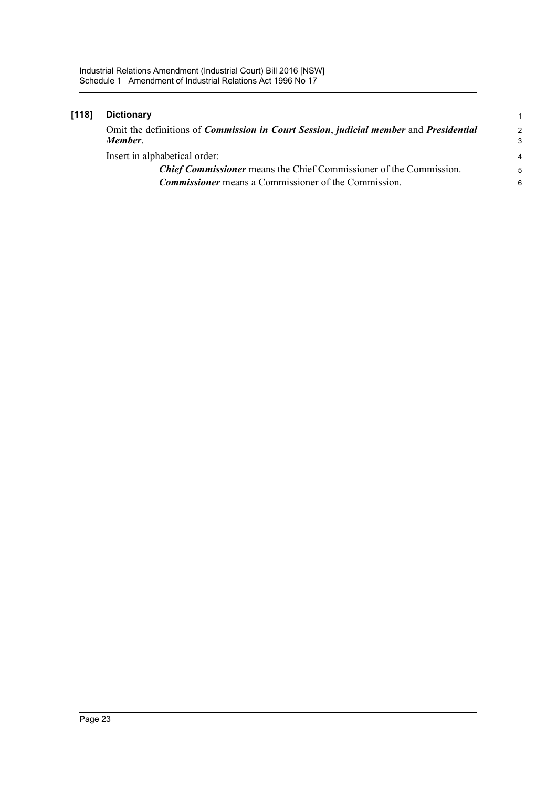| [118] | <b>Dictionary</b>                                                                                                      | 1                       |
|-------|------------------------------------------------------------------------------------------------------------------------|-------------------------|
|       | Omit the definitions of <i>Commission in Court Session</i> , <i>judicial member</i> and <i>Presidential</i><br>Member. | $\mathcal{P}$<br>3      |
|       | Insert in alphabetical order:                                                                                          | $\overline{\mathbf{4}}$ |
|       | <b>Chief Commissioner</b> means the Chief Commissioner of the Commission.                                              | 5                       |
|       | <b>Commissioner</b> means a Commissioner of the Commission.                                                            | 6                       |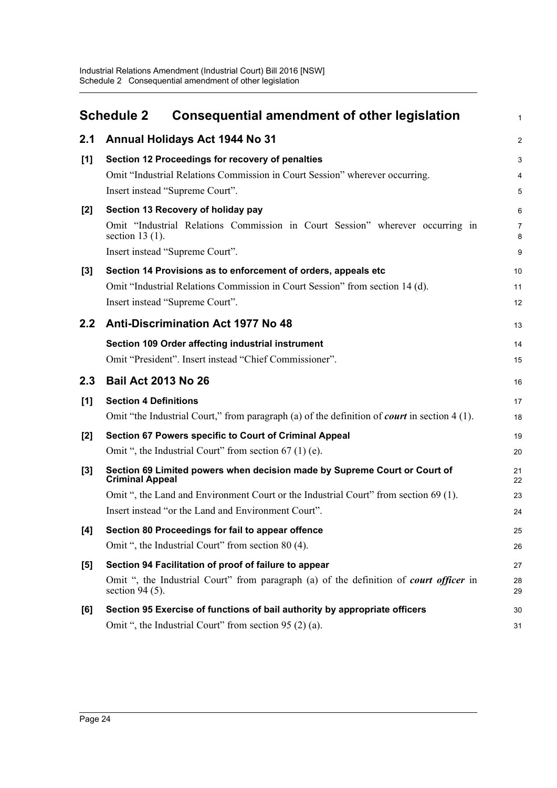<span id="page-27-0"></span>

|       | <b>Consequential amendment of other legislation</b><br><b>Schedule 2</b>                                                                                                          | 1                |
|-------|-----------------------------------------------------------------------------------------------------------------------------------------------------------------------------------|------------------|
| 2.1   | Annual Holidays Act 1944 No 31                                                                                                                                                    | $\overline{c}$   |
| [1]   | Section 12 Proceedings for recovery of penalties<br>Omit "Industrial Relations Commission in Court Session" wherever occurring.<br>Insert instead "Supreme Court".                | 3<br>4<br>5      |
| [2]   | Section 13 Recovery of holiday pay<br>Omit "Industrial Relations Commission in Court Session" wherever occurring in<br>section $13(1)$ .<br>Insert instead "Supreme Court".       | 6<br>7<br>8<br>9 |
| [3]   | Section 14 Provisions as to enforcement of orders, appeals etc<br>Omit "Industrial Relations Commission in Court Session" from section 14 (d).<br>Insert instead "Supreme Court". | 10<br>11<br>12   |
| 2.2   | <b>Anti-Discrimination Act 1977 No 48</b>                                                                                                                                         | 13               |
|       | Section 109 Order affecting industrial instrument<br>Omit "President". Insert instead "Chief Commissioner".                                                                       | 14<br>15         |
| 2.3   | <b>Bail Act 2013 No 26</b>                                                                                                                                                        | 16               |
| [1]   | <b>Section 4 Definitions</b><br>Omit "the Industrial Court," from paragraph (a) of the definition of <i>court</i> in section $4(1)$ .                                             | 17<br>18         |
| $[2]$ | Section 67 Powers specific to Court of Criminal Appeal<br>Omit ", the Industrial Court" from section $67(1)$ (e).                                                                 | 19<br>20         |
| $[3]$ | Section 69 Limited powers when decision made by Supreme Court or Court of<br><b>Criminal Appeal</b>                                                                               | 21<br>22         |
|       | Omit ", the Land and Environment Court or the Industrial Court" from section 69 (1).<br>Insert instead "or the Land and Environment Court".                                       | 23<br>24         |
|       | Section 80 Proceedings for fail to appear offence                                                                                                                                 | 25               |
| [4]   | Omit ", the Industrial Court" from section 80 (4).                                                                                                                                | 26               |
| [5]   | Section 94 Facilitation of proof of failure to appear                                                                                                                             | 27               |
|       | Omit ", the Industrial Court" from paragraph (a) of the definition of <i>court officer</i> in<br>section 94 $(5)$ .                                                               | 28<br>29         |
| [6]   | Section 95 Exercise of functions of bail authority by appropriate officers                                                                                                        | 30               |
|       | Omit ", the Industrial Court" from section 95 (2) (a).                                                                                                                            | 31               |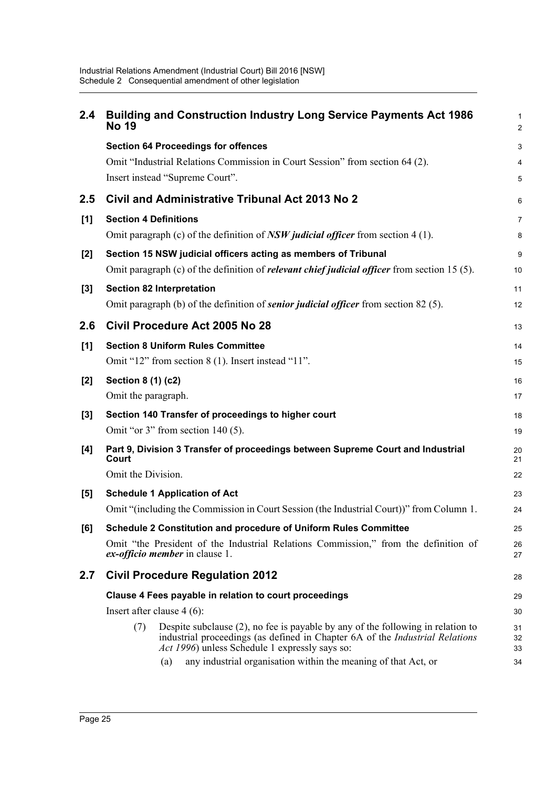| 2.4   | <b>Building and Construction Industry Long Service Payments Act 1986</b><br><b>No 19</b>                                                                                                                                        | $\mathbf{1}$<br>$\overline{2}$ |
|-------|---------------------------------------------------------------------------------------------------------------------------------------------------------------------------------------------------------------------------------|--------------------------------|
|       | <b>Section 64 Proceedings for offences</b>                                                                                                                                                                                      | 3                              |
|       | Omit "Industrial Relations Commission in Court Session" from section 64 (2).                                                                                                                                                    | 4                              |
|       | Insert instead "Supreme Court".                                                                                                                                                                                                 | 5                              |
| 2.5   | Civil and Administrative Tribunal Act 2013 No 2                                                                                                                                                                                 | 6                              |
| [1]   | <b>Section 4 Definitions</b>                                                                                                                                                                                                    | $\overline{7}$                 |
|       | Omit paragraph (c) of the definition of $NSW$ judicial officer from section 4 (1).                                                                                                                                              | 8                              |
| [2]   | Section 15 NSW judicial officers acting as members of Tribunal                                                                                                                                                                  | 9                              |
|       | Omit paragraph (c) of the definition of <i>relevant chief judicial officer</i> from section 15 $(5)$ .                                                                                                                          | 10                             |
| $[3]$ | <b>Section 82 Interpretation</b>                                                                                                                                                                                                | 11                             |
|       | Omit paragraph (b) of the definition of <i>senior judicial officer</i> from section 82 (5).                                                                                                                                     | 12                             |
| 2.6   | Civil Procedure Act 2005 No 28                                                                                                                                                                                                  | 13                             |
| [1]   | <b>Section 8 Uniform Rules Committee</b>                                                                                                                                                                                        | 14                             |
|       | Omit "12" from section 8 (1). Insert instead "11".                                                                                                                                                                              | 15                             |
| [2]   | Section 8 (1) (c2)                                                                                                                                                                                                              | 16                             |
|       | Omit the paragraph.                                                                                                                                                                                                             | 17                             |
| $[3]$ | Section 140 Transfer of proceedings to higher court                                                                                                                                                                             | 18                             |
|       | Omit "or 3" from section $140(5)$ .                                                                                                                                                                                             | 19                             |
| [4]   | Part 9, Division 3 Transfer of proceedings between Supreme Court and Industrial<br>Court                                                                                                                                        | 20<br>21                       |
|       | Omit the Division.                                                                                                                                                                                                              | 22                             |
| [5]   | <b>Schedule 1 Application of Act</b>                                                                                                                                                                                            | 23                             |
|       | Omit "(including the Commission in Court Session (the Industrial Court))" from Column 1.                                                                                                                                        | 24                             |
| [6]   | Schedule 2 Constitution and procedure of Uniform Rules Committee                                                                                                                                                                | 25                             |
|       | Omit "the President of the Industrial Relations Commission," from the definition of<br>ex-officio member in clause 1.                                                                                                           | 26<br>27                       |
| 2.7   | <b>Civil Procedure Regulation 2012</b>                                                                                                                                                                                          | 28                             |
|       | Clause 4 Fees payable in relation to court proceedings                                                                                                                                                                          | 29                             |
|       | Insert after clause $4(6)$ :                                                                                                                                                                                                    | 30                             |
|       | Despite subclause (2), no fee is payable by any of the following in relation to<br>(7)<br>industrial proceedings (as defined in Chapter 6A of the <i>Industrial Relations</i><br>Act 1996) unless Schedule 1 expressly says so: | 31<br>32<br>33                 |
|       | any industrial organisation within the meaning of that Act, or<br>(a)                                                                                                                                                           | 34                             |
|       |                                                                                                                                                                                                                                 |                                |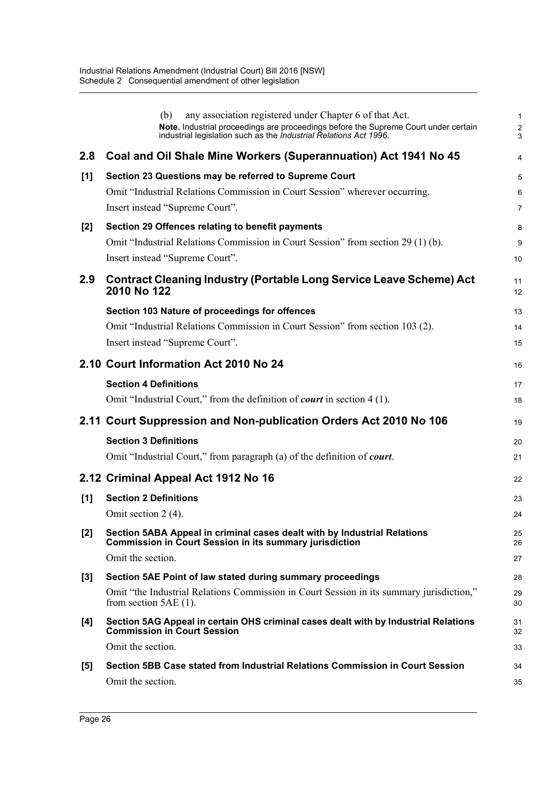|       | any association registered under Chapter 6 of that Act.<br>(b)<br>Note. Industrial proceedings are proceedings before the Supreme Court under certain industrial legislation such as the <i>Industrial Relations Act 1996</i> . | 1<br>$\overline{\mathbf{c}}$<br>3 |
|-------|---------------------------------------------------------------------------------------------------------------------------------------------------------------------------------------------------------------------------------|-----------------------------------|
| 2.8   | Coal and Oil Shale Mine Workers (Superannuation) Act 1941 No 45                                                                                                                                                                 | 4                                 |
| [1]   | Section 23 Questions may be referred to Supreme Court                                                                                                                                                                           | 5                                 |
|       | Omit "Industrial Relations Commission in Court Session" wherever occurring.                                                                                                                                                     | 6                                 |
|       | Insert instead "Supreme Court".                                                                                                                                                                                                 | 7                                 |
| $[2]$ | Section 29 Offences relating to benefit payments                                                                                                                                                                                | 8                                 |
|       | Omit "Industrial Relations Commission in Court Session" from section 29 (1) (b).<br>Insert instead "Supreme Court".                                                                                                             | 9<br>10                           |
| 2.9   | <b>Contract Cleaning Industry (Portable Long Service Leave Scheme) Act</b><br>2010 No 122                                                                                                                                       | 11<br>12                          |
|       | Section 103 Nature of proceedings for offences                                                                                                                                                                                  | 13                                |
|       | Omit "Industrial Relations Commission in Court Session" from section 103 (2).                                                                                                                                                   | 14                                |
|       | Insert instead "Supreme Court".                                                                                                                                                                                                 | 15                                |
|       | 2.10 Court Information Act 2010 No 24                                                                                                                                                                                           | 16                                |
|       | <b>Section 4 Definitions</b>                                                                                                                                                                                                    | 17                                |
|       | Omit "Industrial Court," from the definition of <i>court</i> in section 4 (1).                                                                                                                                                  | 18                                |
|       | 2.11 Court Suppression and Non-publication Orders Act 2010 No 106                                                                                                                                                               | 19                                |
|       | <b>Section 3 Definitions</b>                                                                                                                                                                                                    | 20                                |
|       | Omit "Industrial Court," from paragraph (a) of the definition of court.                                                                                                                                                         | 21                                |
|       | 2.12 Criminal Appeal Act 1912 No 16                                                                                                                                                                                             | 22                                |
| [1]   | <b>Section 2 Definitions</b>                                                                                                                                                                                                    | 23                                |
|       | Omit section 2 (4).                                                                                                                                                                                                             | 24                                |
| $[2]$ | Section 5ABA Appeal in criminal cases dealt with by Industrial Relations<br><b>Commission in Court Session in its summary jurisdiction</b>                                                                                      | 25<br>26                          |
|       | Omit the section.                                                                                                                                                                                                               | 27                                |
| $[3]$ | Section 5AE Point of law stated during summary proceedings                                                                                                                                                                      | 28                                |
|       | Omit "the Industrial Relations Commission in Court Session in its summary jurisdiction,"<br>from section $5AE(1)$ .                                                                                                             | 29<br>30                          |
| [4]   | Section 5AG Appeal in certain OHS criminal cases dealt with by Industrial Relations<br><b>Commission in Court Session</b>                                                                                                       | 31<br>32                          |
|       | Omit the section.                                                                                                                                                                                                               | 33                                |
|       |                                                                                                                                                                                                                                 |                                   |
| $[5]$ | Section 5BB Case stated from Industrial Relations Commission in Court Session                                                                                                                                                   | 34                                |
|       | Omit the section.                                                                                                                                                                                                               | 35                                |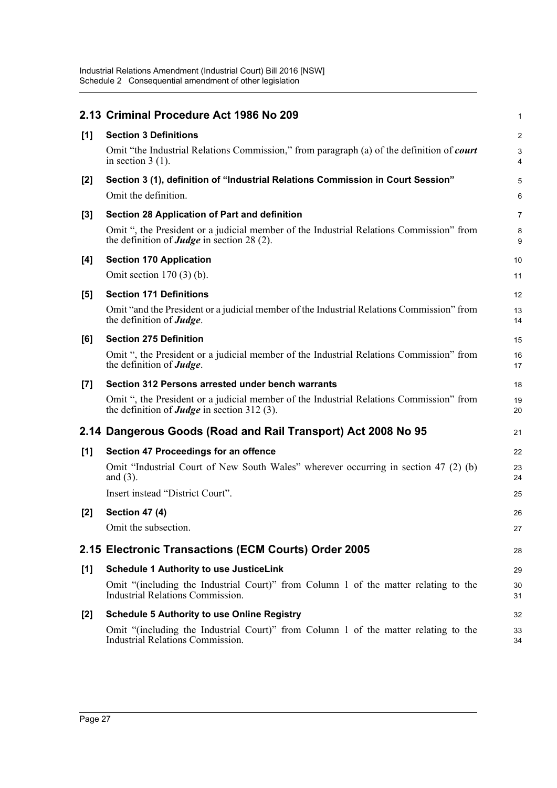|       | 2.13 Criminal Procedure Act 1986 No 209                                                                                                              | 1                       |
|-------|------------------------------------------------------------------------------------------------------------------------------------------------------|-------------------------|
| [1]   | <b>Section 3 Definitions</b>                                                                                                                         | $\overline{\mathbf{c}}$ |
|       | Omit "the Industrial Relations Commission," from paragraph (a) of the definition of <i>court</i><br>in section $3(1)$ .                              | 3<br>4                  |
| $[2]$ | Section 3 (1), definition of "Industrial Relations Commission in Court Session"                                                                      | 5                       |
|       | Omit the definition.                                                                                                                                 | 6                       |
| $[3]$ | Section 28 Application of Part and definition                                                                                                        | 7                       |
|       | Omit ", the President or a judicial member of the Industrial Relations Commission" from<br>the definition of <b>Judge</b> in section 28 (2).         | 8<br>9                  |
| [4]   | <b>Section 170 Application</b>                                                                                                                       | 10                      |
|       | Omit section $170(3)$ (b).                                                                                                                           | 11                      |
| [5]   | <b>Section 171 Definitions</b>                                                                                                                       | 12                      |
|       | Omit "and the President or a judicial member of the Industrial Relations Commission" from<br>the definition of <b>Judge</b> .                        | 13<br>14                |
| [6]   | <b>Section 275 Definition</b>                                                                                                                        | 15                      |
|       | Omit ", the President or a judicial member of the Industrial Relations Commission" from<br>the definition of <b>Judge</b> .                          | 16<br>17                |
| [7]   | Section 312 Persons arrested under bench warrants                                                                                                    | 18                      |
|       | Omit ", the President or a judicial member of the Industrial Relations Commission" from<br>the definition of <b><i>Judge</i></b> in section 312 (3). | 19<br>20                |
|       | 2.14 Dangerous Goods (Road and Rail Transport) Act 2008 No 95                                                                                        | 21                      |
| [1]   | Section 47 Proceedings for an offence                                                                                                                | 22                      |
|       | Omit "Industrial Court of New South Wales" wherever occurring in section 47 (2) (b)<br>and $(3)$ .                                                   | 23<br>24                |
|       | Insert instead "District Court".                                                                                                                     | 25                      |
| $[2]$ | <b>Section 47 (4)</b>                                                                                                                                | 26                      |
|       | Omit the subsection.                                                                                                                                 | 27                      |
|       | 2.15 Electronic Transactions (ECM Courts) Order 2005                                                                                                 | 28                      |
| [1]   | <b>Schedule 1 Authority to use JusticeLink</b>                                                                                                       | 29                      |
|       | Omit "(including the Industrial Court)" from Column 1 of the matter relating to the<br><b>Industrial Relations Commission.</b>                       | 30<br>31                |
| $[2]$ | <b>Schedule 5 Authority to use Online Registry</b>                                                                                                   | 32                      |
|       | Omit "(including the Industrial Court)" from Column 1 of the matter relating to the<br><b>Industrial Relations Commission.</b>                       | 33<br>34                |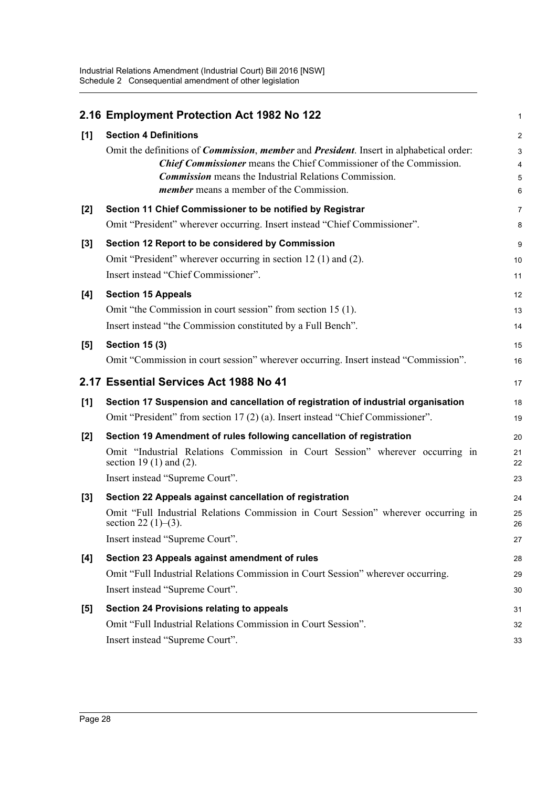|       | 2.16 Employment Protection Act 1982 No 122                                                                       | 1                       |
|-------|------------------------------------------------------------------------------------------------------------------|-------------------------|
| [1]   | <b>Section 4 Definitions</b>                                                                                     | $\overline{\mathbf{c}}$ |
|       | Omit the definitions of <i>Commission</i> , <i>member</i> and <i>President</i> . Insert in alphabetical order:   | 3                       |
|       | <b>Chief Commissioner</b> means the Chief Commissioner of the Commission.                                        | 4                       |
|       | <b>Commission</b> means the Industrial Relations Commission.                                                     | 5                       |
|       | <i>member</i> means a member of the Commission.                                                                  | 6                       |
| $[2]$ | Section 11 Chief Commissioner to be notified by Registrar                                                        | 7                       |
|       | Omit "President" wherever occurring. Insert instead "Chief Commissioner".                                        | 8                       |
| $[3]$ | Section 12 Report to be considered by Commission                                                                 | 9                       |
|       | Omit "President" wherever occurring in section 12 (1) and (2).                                                   | 10                      |
|       | Insert instead "Chief Commissioner".                                                                             | 11                      |
| [4]   | <b>Section 15 Appeals</b>                                                                                        | 12                      |
|       | Omit "the Commission in court session" from section 15 (1).                                                      | 13                      |
|       | Insert instead "the Commission constituted by a Full Bench".                                                     | 14                      |
| [5]   | <b>Section 15 (3)</b>                                                                                            | 15                      |
|       | Omit "Commission in court session" wherever occurring. Insert instead "Commission".                              | 16                      |
|       | 2.17 Essential Services Act 1988 No 41                                                                           | 17                      |
| [1]   | Section 17 Suspension and cancellation of registration of industrial organisation                                | 18                      |
|       | Omit "President" from section 17 (2) (a). Insert instead "Chief Commissioner".                                   | 19                      |
| $[2]$ | Section 19 Amendment of rules following cancellation of registration                                             | 20                      |
|       | Omit "Industrial Relations Commission in Court Session" wherever occurring in<br>section 19 $(1)$ and $(2)$ .    | 21<br>22                |
|       | Insert instead "Supreme Court".                                                                                  | 23                      |
| $[3]$ | Section 22 Appeals against cancellation of registration                                                          | 24                      |
|       | Omit "Full Industrial Relations Commission in Court Session" wherever occurring in<br>section 22 $(1)$ – $(3)$ . | 25<br>26                |
|       | Insert instead "Supreme Court".                                                                                  | 27                      |
| [4]   | Section 23 Appeals against amendment of rules                                                                    | 28                      |
|       | Omit "Full Industrial Relations Commission in Court Session" wherever occurring.                                 | 29                      |
|       | Insert instead "Supreme Court".                                                                                  | 30                      |
| [5]   | Section 24 Provisions relating to appeals                                                                        | 31                      |
|       | Omit "Full Industrial Relations Commission in Court Session".                                                    | 32                      |
|       | Insert instead "Supreme Court".                                                                                  | 33                      |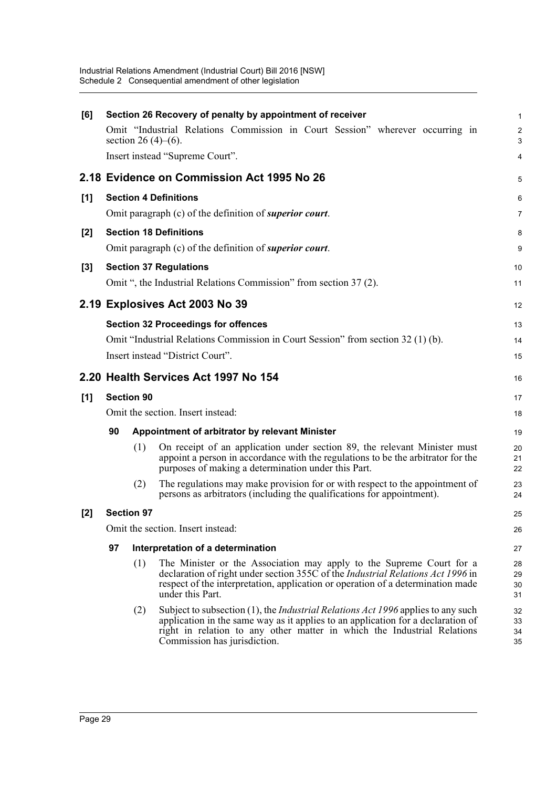| [6]   |                                            |                            | Section 26 Recovery of penalty by appointment of receiver                                                                                                                                                                                                                              | $\mathbf{1}$         |  |  |
|-------|--------------------------------------------|----------------------------|----------------------------------------------------------------------------------------------------------------------------------------------------------------------------------------------------------------------------------------------------------------------------------------|----------------------|--|--|
|       |                                            | section 26 $(4)$ – $(6)$ . | Omit "Industrial Relations Commission in Court Session" wherever occurring in                                                                                                                                                                                                          | $\overline{c}$<br>3  |  |  |
|       |                                            |                            | Insert instead "Supreme Court".                                                                                                                                                                                                                                                        | 4                    |  |  |
|       |                                            |                            | 2.18 Evidence on Commission Act 1995 No 26                                                                                                                                                                                                                                             | 5                    |  |  |
| [1]   |                                            |                            | <b>Section 4 Definitions</b>                                                                                                                                                                                                                                                           | 6                    |  |  |
|       |                                            |                            | Omit paragraph (c) of the definition of <i>superior court</i> .                                                                                                                                                                                                                        | $\overline{7}$       |  |  |
| [2]   |                                            |                            | <b>Section 18 Definitions</b>                                                                                                                                                                                                                                                          | 8                    |  |  |
|       |                                            |                            | Omit paragraph (c) of the definition of <i>superior court</i> .                                                                                                                                                                                                                        | 9                    |  |  |
| $[3]$ |                                            |                            | <b>Section 37 Regulations</b>                                                                                                                                                                                                                                                          | 10                   |  |  |
|       |                                            |                            | Omit ", the Industrial Relations Commission" from section 37 (2).                                                                                                                                                                                                                      | 11                   |  |  |
|       |                                            |                            | 2.19 Explosives Act 2003 No 39                                                                                                                                                                                                                                                         | 12                   |  |  |
|       | <b>Section 32 Proceedings for offences</b> |                            |                                                                                                                                                                                                                                                                                        |                      |  |  |
|       |                                            |                            | Omit "Industrial Relations Commission in Court Session" from section 32 (1) (b).                                                                                                                                                                                                       | 14                   |  |  |
|       |                                            |                            | Insert instead "District Court".                                                                                                                                                                                                                                                       | 15                   |  |  |
|       |                                            |                            | 2.20 Health Services Act 1997 No 154                                                                                                                                                                                                                                                   | 16                   |  |  |
| [1]   |                                            | <b>Section 90</b>          |                                                                                                                                                                                                                                                                                        | 17                   |  |  |
|       |                                            |                            | Omit the section. Insert instead:                                                                                                                                                                                                                                                      | 18                   |  |  |
|       | 90                                         |                            | Appointment of arbitrator by relevant Minister                                                                                                                                                                                                                                         | 19                   |  |  |
|       |                                            | (1)                        | On receipt of an application under section 89, the relevant Minister must<br>appoint a person in accordance with the regulations to be the arbitrator for the<br>purposes of making a determination under this Part.                                                                   | 20<br>21<br>22       |  |  |
|       |                                            | (2)                        | The regulations may make provision for or with respect to the appointment of<br>persons as arbitrators (including the qualifications for appointment).                                                                                                                                 | 23<br>24             |  |  |
| [2]   |                                            | <b>Section 97</b>          |                                                                                                                                                                                                                                                                                        | 25                   |  |  |
|       |                                            |                            | Omit the section. Insert instead:                                                                                                                                                                                                                                                      | 26                   |  |  |
|       | 97                                         |                            | Interpretation of a determination                                                                                                                                                                                                                                                      | 27                   |  |  |
|       |                                            | (1)                        | The Minister or the Association may apply to the Supreme Court for a<br>declaration of right under section 355C of the <i>Industrial Relations Act 1996</i> in<br>respect of the interpretation, application or operation of a determination made<br>under this Part.                  | 28<br>29<br>30<br>31 |  |  |
|       |                                            | (2)                        | Subject to subsection (1), the <i>Industrial Relations Act 1996</i> applies to any such<br>application in the same way as it applies to an application for a declaration of<br>right in relation to any other matter in which the Industrial Relations<br>Commission has jurisdiction. | 32<br>33<br>34<br>35 |  |  |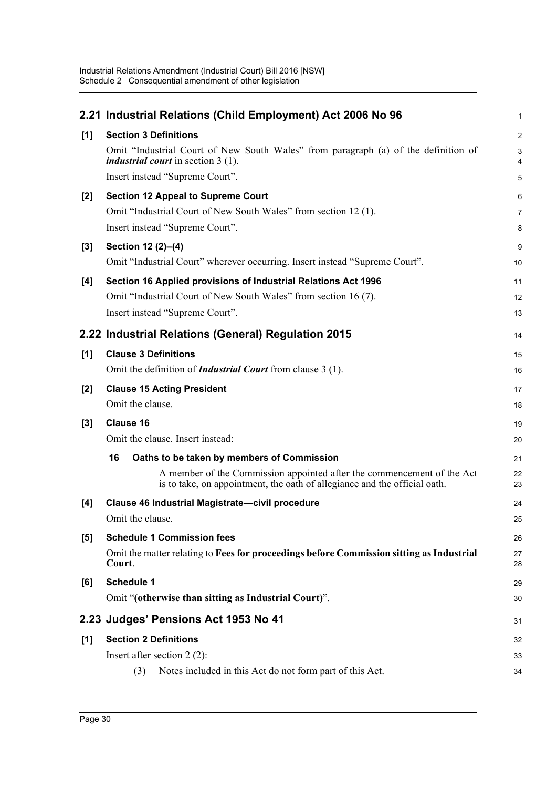|       | 2.21 Industrial Relations (Child Employment) Act 2006 No 96                                                                                         | $\mathbf{1}$   |
|-------|-----------------------------------------------------------------------------------------------------------------------------------------------------|----------------|
| [1]   | <b>Section 3 Definitions</b>                                                                                                                        | $\overline{2}$ |
|       | Omit "Industrial Court of New South Wales" from paragraph (a) of the definition of<br><i>industrial court</i> in section 3 (1).                     | 3<br>4         |
|       | Insert instead "Supreme Court".                                                                                                                     | 5              |
| $[2]$ | <b>Section 12 Appeal to Supreme Court</b>                                                                                                           | 6              |
|       | Omit "Industrial Court of New South Wales" from section 12(1).                                                                                      | $\overline{7}$ |
|       | Insert instead "Supreme Court".                                                                                                                     | 8              |
| $[3]$ | Section 12 (2)-(4)                                                                                                                                  | 9              |
|       | Omit "Industrial Court" wherever occurring. Insert instead "Supreme Court".                                                                         | 10             |
| [4]   | Section 16 Applied provisions of Industrial Relations Act 1996                                                                                      | 11             |
|       | Omit "Industrial Court of New South Wales" from section 16 (7).                                                                                     | 12             |
|       | Insert instead "Supreme Court".                                                                                                                     | 13             |
|       | 2.22 Industrial Relations (General) Regulation 2015                                                                                                 | 14             |
| [1]   | <b>Clause 3 Definitions</b>                                                                                                                         | 15             |
|       | Omit the definition of <i>Industrial Court</i> from clause 3 (1).                                                                                   | 16             |
| $[2]$ | <b>Clause 15 Acting President</b>                                                                                                                   | 17             |
|       | Omit the clause.                                                                                                                                    | 18             |
| $[3]$ | <b>Clause 16</b>                                                                                                                                    | 19             |
|       | Omit the clause. Insert instead:                                                                                                                    | 20             |
|       | 16<br>Oaths to be taken by members of Commission                                                                                                    | 21             |
|       | A member of the Commission appointed after the commencement of the Act<br>is to take, on appointment, the oath of allegiance and the official oath. | 22<br>23       |
| [4]   | Clause 46 Industrial Magistrate-civil procedure                                                                                                     | 24             |
|       | Omit the clause.                                                                                                                                    | 25             |
| [5]   | <b>Schedule 1 Commission fees</b>                                                                                                                   | 26             |
|       | Omit the matter relating to Fees for proceedings before Commission sitting as Industrial<br>Court.                                                  | 27<br>28       |
| [6]   | <b>Schedule 1</b>                                                                                                                                   | 29             |
|       | Omit "(otherwise than sitting as Industrial Court)".                                                                                                | 30             |
|       | 2.23 Judges' Pensions Act 1953 No 41                                                                                                                | 31             |
| [1]   | <b>Section 2 Definitions</b>                                                                                                                        | 32             |
|       | Insert after section $2(2)$ :                                                                                                                       | 33             |
|       | Notes included in this Act do not form part of this Act.<br>(3)                                                                                     | 34             |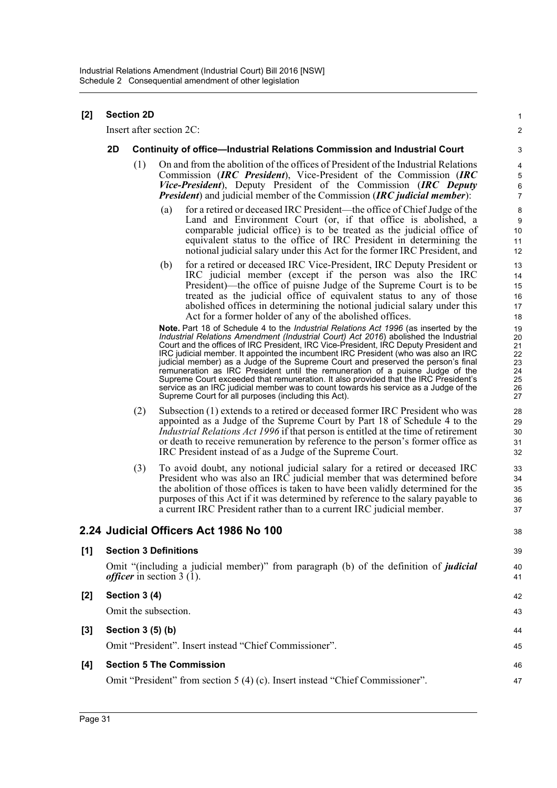| $[2] % \includegraphics[width=0.9\columnwidth]{figures/fig_10.pdf} \caption{The figure shows the number of times and the number of times. The number of times are indicated with the number of times.} \label{fig:2}$ | <b>Section 2D</b> |  |
|-----------------------------------------------------------------------------------------------------------------------------------------------------------------------------------------------------------------------|-------------------|--|
|                                                                                                                                                                                                                       |                   |  |

Insert after section 2C:

#### **2D Continuity of office—Industrial Relations Commission and Industrial Court**

- (1) On and from the abolition of the offices of President of the Industrial Relations Commission (*IRC President*), Vice-President of the Commission (*IRC Vice-President*), Deputy President of the Commission (*IRC Deputy President*) and judicial member of the Commission (*IRC judicial member*):
	- (a) for a retired or deceased IRC President—the office of Chief Judge of the Land and Environment Court (or, if that office is abolished, a comparable judicial office) is to be treated as the judicial office of equivalent status to the office of IRC President in determining the notional judicial salary under this Act for the former IRC President, and

1  $\mathfrak{p}$ 

(b) for a retired or deceased IRC Vice-President, IRC Deputy President or IRC judicial member (except if the person was also the IRC President)—the office of puisne Judge of the Supreme Court is to be treated as the judicial office of equivalent status to any of those abolished offices in determining the notional judicial salary under this Act for a former holder of any of the abolished offices.

**Note.** Part 18 of Schedule 4 to the *Industrial Relations Act 1996* (as inserted by the *Industrial Relations Amendment (Industrial Court) Act 2016*) abolished the Industrial Court and the offices of IRC President, IRC Vice-President, IRC Deputy President and IRC judicial member. It appointed the incumbent IRC President (who was also an IRC judicial member) as a Judge of the Supreme Court and preserved the person's final remuneration as IRC President until the remuneration of a puisne Judge of the Supreme Court exceeded that remuneration. It also provided that the IRC President's service as an IRC judicial member was to count towards his service as a Judge of the Supreme Court for all purposes (including this Act).

- (2) Subsection (1) extends to a retired or deceased former IRC President who was appointed as a Judge of the Supreme Court by Part 18 of Schedule 4 to the *Industrial Relations Act 1996* if that person is entitled at the time of retirement or death to receive remuneration by reference to the person's former office as IRC President instead of as a Judge of the Supreme Court.
- (3) To avoid doubt, any notional judicial salary for a retired or deceased IRC President who was also an IRC judicial member that was determined before the abolition of those offices is taken to have been validly determined for the purposes of this Act if it was determined by reference to the salary payable to a current IRC President rather than to a current IRC judicial member.

#### **2.24 Judicial Officers Act 1986 No 100**

|       | 2.24 Judicial Officers Act 1986 No 100                                                                                             | 38       |
|-------|------------------------------------------------------------------------------------------------------------------------------------|----------|
| [1]   | <b>Section 3 Definitions</b>                                                                                                       | 39       |
|       | Omit "(including a judicial member)" from paragraph (b) of the definition of <i>judicial</i><br><i>officer</i> in section $3(1)$ . | 40<br>41 |
| [2]   | Section 3 (4)                                                                                                                      | 42       |
|       | Omit the subsection.                                                                                                               | 43       |
| $[3]$ | Section 3 (5) (b)                                                                                                                  | 44       |
|       | Omit "President". Insert instead "Chief Commissioner".                                                                             | 45       |
| [4]   | <b>Section 5 The Commission</b>                                                                                                    | 46       |
|       | Omit "President" from section 5 (4) (c). Insert instead "Chief Commissioner".                                                      | 47       |
|       |                                                                                                                                    |          |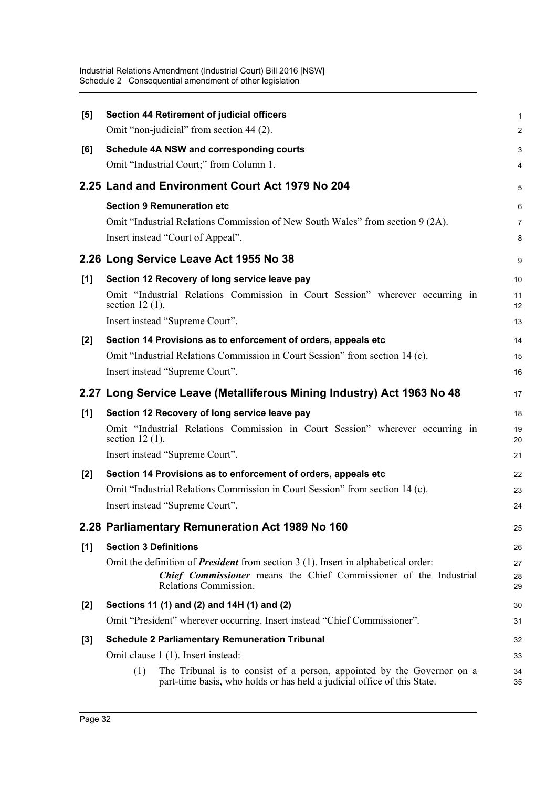| $[5]$ | Section 44 Retirement of judicial officers                                                                                                                                                       | $\mathbf{1}$   |
|-------|--------------------------------------------------------------------------------------------------------------------------------------------------------------------------------------------------|----------------|
|       | Omit "non-judicial" from section 44 (2).                                                                                                                                                         | 2              |
| [6]   | Schedule 4A NSW and corresponding courts                                                                                                                                                         | 3              |
|       | Omit "Industrial Court;" from Column 1.                                                                                                                                                          | 4              |
|       | 2.25 Land and Environment Court Act 1979 No 204                                                                                                                                                  | 5              |
|       | <b>Section 9 Remuneration etc</b>                                                                                                                                                                | 6              |
|       | Omit "Industrial Relations Commission of New South Wales" from section 9 (2A).                                                                                                                   | $\overline{7}$ |
|       | Insert instead "Court of Appeal".                                                                                                                                                                | 8              |
|       | 2.26 Long Service Leave Act 1955 No 38                                                                                                                                                           | 9              |
| [1]   | Section 12 Recovery of long service leave pay                                                                                                                                                    | 10             |
|       | Omit "Industrial Relations Commission in Court Session" wherever occurring in<br>section $12(1)$ .                                                                                               | 11<br>12       |
|       | Insert instead "Supreme Court".                                                                                                                                                                  | 13             |
| $[2]$ | Section 14 Provisions as to enforcement of orders, appeals etc                                                                                                                                   | 14             |
|       | Omit "Industrial Relations Commission in Court Session" from section 14 (c).                                                                                                                     | 15             |
|       | Insert instead "Supreme Court".                                                                                                                                                                  | 16             |
|       | 2.27 Long Service Leave (Metalliferous Mining Industry) Act 1963 No 48                                                                                                                           | 17             |
| [1]   | Section 12 Recovery of long service leave pay                                                                                                                                                    | 18             |
|       | Omit "Industrial Relations Commission in Court Session" wherever occurring in<br>section $12(1)$ .                                                                                               | 19<br>20       |
|       | Insert instead "Supreme Court".                                                                                                                                                                  | 21             |
| $[2]$ | Section 14 Provisions as to enforcement of orders, appeals etc                                                                                                                                   | 22             |
|       | Omit "Industrial Relations Commission in Court Session" from section 14 (c).                                                                                                                     | 23             |
|       | Insert instead "Supreme Court".                                                                                                                                                                  | 24             |
|       | 2.28 Parliamentary Remuneration Act 1989 No 160                                                                                                                                                  | 25             |
| $[1]$ | <b>Section 3 Definitions</b>                                                                                                                                                                     | 26             |
|       | Omit the definition of <b>President</b> from section $3(1)$ . Insert in alphabetical order:<br><b>Chief Commissioner</b> means the Chief Commissioner of the Industrial<br>Relations Commission. | 27<br>28<br>29 |
| $[2]$ | Sections 11 (1) and (2) and 14H (1) and (2)                                                                                                                                                      | 30             |
|       | Omit "President" wherever occurring. Insert instead "Chief Commissioner".                                                                                                                        | 31             |
| $[3]$ | <b>Schedule 2 Parliamentary Remuneration Tribunal</b>                                                                                                                                            | 32             |
|       | Omit clause 1 (1). Insert instead:                                                                                                                                                               | 33             |
|       | The Tribunal is to consist of a person, appointed by the Governor on a<br>(1)<br>part-time basis, who holds or has held a judicial office of this State.                                         | 34<br>35       |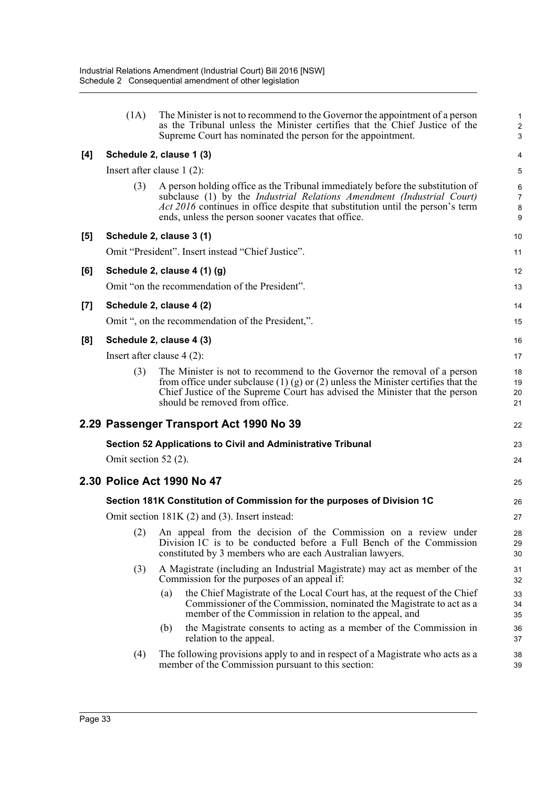|       | (1A)                         | The Minister is not to recommend to the Governor the appointment of a person<br>as the Tribunal unless the Minister certifies that the Chief Justice of the<br>Supreme Court has nominated the person for the appointment.                                                                                                                       | 1<br>$\overline{\mathbf{c}}$<br>3 |
|-------|------------------------------|--------------------------------------------------------------------------------------------------------------------------------------------------------------------------------------------------------------------------------------------------------------------------------------------------------------------------------------------------|-----------------------------------|
| [4]   |                              | Schedule 2, clause 1 (3)                                                                                                                                                                                                                                                                                                                         | 4                                 |
|       | Insert after clause $1(2)$ : |                                                                                                                                                                                                                                                                                                                                                  | 5                                 |
|       | (3)                          | A person holding office as the Tribunal immediately before the substitution of<br>subclause (1) by the <i>Industrial Relations Amendment (Industrial Court)</i><br>Act 2016 continues in office despite that substitution until the person's term<br>ends, unless the person sooner vacates that office.                                         | 6<br>7<br>8<br>9                  |
| [5]   |                              | Schedule 2, clause 3 (1)                                                                                                                                                                                                                                                                                                                         | 10                                |
|       |                              | Omit "President". Insert instead "Chief Justice".                                                                                                                                                                                                                                                                                                | 11                                |
| [6]   |                              | Schedule 2, clause 4 (1) (g)                                                                                                                                                                                                                                                                                                                     | 12                                |
|       |                              | Omit "on the recommendation of the President".                                                                                                                                                                                                                                                                                                   | 13                                |
| $[7]$ |                              | Schedule 2, clause 4 (2)                                                                                                                                                                                                                                                                                                                         | 14                                |
|       |                              | Omit ", on the recommendation of the President,".                                                                                                                                                                                                                                                                                                | 15                                |
| [8]   |                              | Schedule 2, clause 4 (3)                                                                                                                                                                                                                                                                                                                         | 16                                |
|       | Insert after clause $4(2)$ : |                                                                                                                                                                                                                                                                                                                                                  | 17                                |
|       | (3)                          | The Minister is not to recommend to the Governor the removal of a person<br>from office under subclause $(1)$ (g) or $(2)$ unless the Minister certifies that the<br>Chief Justice of the Supreme Court has advised the Minister that the person<br>should be removed from office.                                                               | 18<br>19<br>20<br>21              |
|       |                              | 2.29 Passenger Transport Act 1990 No 39                                                                                                                                                                                                                                                                                                          | 22                                |
|       |                              | Section 52 Applications to Civil and Administrative Tribunal                                                                                                                                                                                                                                                                                     | 23                                |
|       | Omit section 52 (2).         |                                                                                                                                                                                                                                                                                                                                                  | 24                                |
|       |                              | 2.30 Police Act 1990 No 47                                                                                                                                                                                                                                                                                                                       | 25                                |
|       |                              | Section 181K Constitution of Commission for the purposes of Division 1C                                                                                                                                                                                                                                                                          | 26                                |
|       |                              | Omit section $181K(2)$ and (3). Insert instead:                                                                                                                                                                                                                                                                                                  | 27                                |
|       | (2)                          | An appeal from the decision of the Commission on a review under<br>Division 1C is to be conducted before a Full Bench of the Commission<br>constituted by 3 members who are each Australian lawyers.                                                                                                                                             | 28<br>29<br>30                    |
|       | (3)                          | A Magistrate (including an Industrial Magistrate) may act as member of the<br>Commission for the purposes of an appeal if:<br>the Chief Magistrate of the Local Court has, at the request of the Chief<br>(a)<br>Commissioner of the Commission, nominated the Magistrate to act as a<br>member of the Commission in relation to the appeal, and | 31<br>32<br>33<br>34<br>35        |
|       |                              | the Magistrate consents to acting as a member of the Commission in<br>(b)<br>relation to the appeal.                                                                                                                                                                                                                                             | 36<br>37                          |
|       | (4)                          | The following provisions apply to and in respect of a Magistrate who acts as a<br>member of the Commission pursuant to this section:                                                                                                                                                                                                             | 38<br>39                          |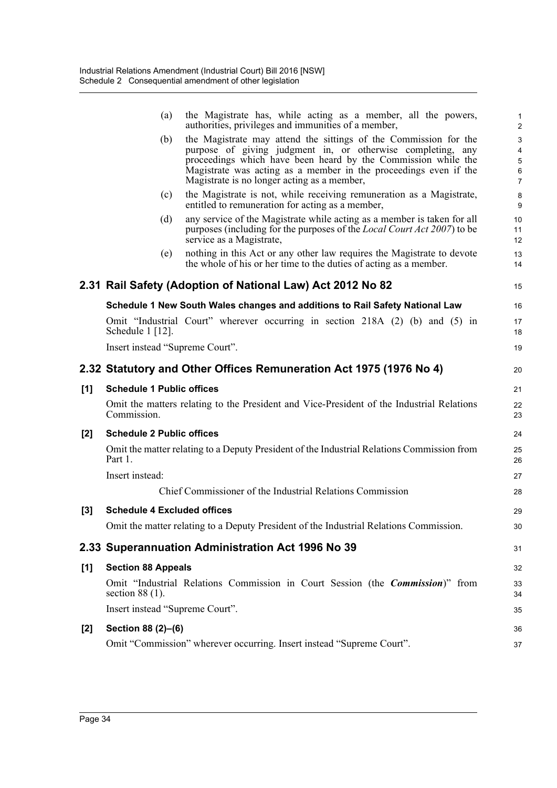|     | (a)                                | the Magistrate has, while acting as a member, all the powers,<br>authorities, privileges and immunities of a member,                                                                                                                                                                                                | 1<br>$\overline{c}$   |
|-----|------------------------------------|---------------------------------------------------------------------------------------------------------------------------------------------------------------------------------------------------------------------------------------------------------------------------------------------------------------------|-----------------------|
|     | (b)                                | the Magistrate may attend the sittings of the Commission for the<br>purpose of giving judgment in, or otherwise completing, any<br>proceedings which have been heard by the Commission while the<br>Magistrate was acting as a member in the proceedings even if the<br>Magistrate is no longer acting as a member, | 3<br>4<br>5<br>6<br>7 |
|     | (c)                                | the Magistrate is not, while receiving remuneration as a Magistrate,<br>entitled to remuneration for acting as a member,                                                                                                                                                                                            | 8<br>9                |
|     | (d)                                | any service of the Magistrate while acting as a member is taken for all<br>purposes (including for the purposes of the <i>Local Court Act 2007</i> ) to be<br>service as a Magistrate,                                                                                                                              | 10<br>11<br>12        |
|     | (e)                                | nothing in this Act or any other law requires the Magistrate to devote<br>the whole of his or her time to the duties of acting as a member.                                                                                                                                                                         | 13<br>14              |
|     |                                    | 2.31 Rail Safety (Adoption of National Law) Act 2012 No 82                                                                                                                                                                                                                                                          | 15                    |
|     |                                    | Schedule 1 New South Wales changes and additions to Rail Safety National Law                                                                                                                                                                                                                                        | 16                    |
|     | Schedule 1 [12].                   | Omit "Industrial Court" wherever occurring in section 218A (2) (b) and (5) in                                                                                                                                                                                                                                       | 17<br>18              |
|     | Insert instead "Supreme Court".    |                                                                                                                                                                                                                                                                                                                     | 19                    |
|     |                                    | 2.32 Statutory and Other Offices Remuneration Act 1975 (1976 No 4)                                                                                                                                                                                                                                                  | 20                    |
| [1] | <b>Schedule 1 Public offices</b>   |                                                                                                                                                                                                                                                                                                                     | 21                    |
|     | Commission.                        | Omit the matters relating to the President and Vice-President of the Industrial Relations                                                                                                                                                                                                                           | 22<br>23              |
| [2] | <b>Schedule 2 Public offices</b>   |                                                                                                                                                                                                                                                                                                                     | 24                    |
|     | Part 1.                            | Omit the matter relating to a Deputy President of the Industrial Relations Commission from                                                                                                                                                                                                                          | 25<br>26              |
|     | Insert instead:                    |                                                                                                                                                                                                                                                                                                                     | 27                    |
|     |                                    | Chief Commissioner of the Industrial Relations Commission                                                                                                                                                                                                                                                           | 28                    |
| [3] | <b>Schedule 4 Excluded offices</b> |                                                                                                                                                                                                                                                                                                                     | 29                    |
|     |                                    | Omit the matter relating to a Deputy President of the Industrial Relations Commission.                                                                                                                                                                                                                              | 30                    |
|     |                                    | 2.33 Superannuation Administration Act 1996 No 39                                                                                                                                                                                                                                                                   | 31                    |
| [1] | <b>Section 88 Appeals</b>          |                                                                                                                                                                                                                                                                                                                     | 32                    |
|     | section $88(1)$ .                  | Omit "Industrial Relations Commission in Court Session (the <i>Commission</i> )" from                                                                                                                                                                                                                               | 33<br>34              |
|     | Insert instead "Supreme Court".    |                                                                                                                                                                                                                                                                                                                     | 35                    |
| [2] | Section 88 (2)-(6)                 |                                                                                                                                                                                                                                                                                                                     | 36                    |
|     |                                    | Omit "Commission" wherever occurring. Insert instead "Supreme Court".                                                                                                                                                                                                                                               | 37                    |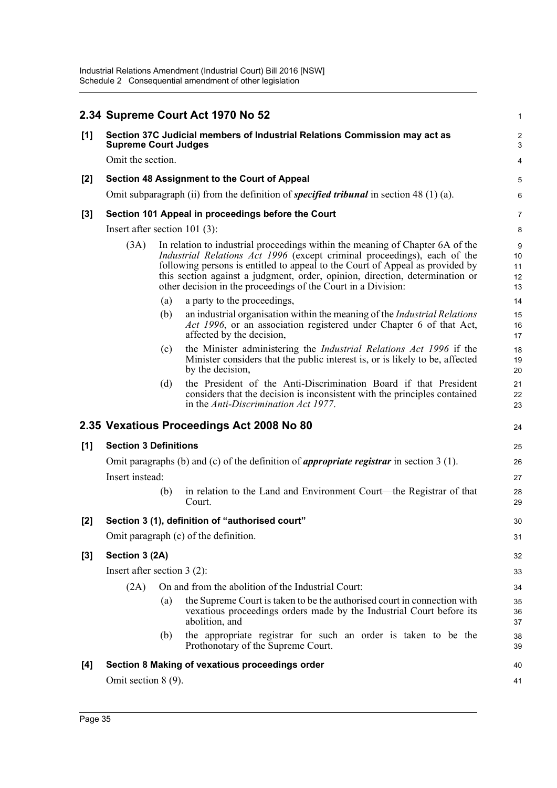|       |                                  |     | 2.34 Supreme Court Act 1970 No 52                                                                                                                                                                                                                                                                                                                                                           | $\mathbf{1}$              |
|-------|----------------------------------|-----|---------------------------------------------------------------------------------------------------------------------------------------------------------------------------------------------------------------------------------------------------------------------------------------------------------------------------------------------------------------------------------------------|---------------------------|
| [1]   | <b>Supreme Court Judges</b>      |     | Section 37C Judicial members of Industrial Relations Commission may act as                                                                                                                                                                                                                                                                                                                  | 2<br>3                    |
|       | Omit the section.                |     |                                                                                                                                                                                                                                                                                                                                                                                             | $\overline{4}$            |
| $[2]$ |                                  |     | Section 48 Assignment to the Court of Appeal                                                                                                                                                                                                                                                                                                                                                | 5                         |
|       |                                  |     | Omit subparagraph (ii) from the definition of <i>specified tribunal</i> in section 48 (1) (a).                                                                                                                                                                                                                                                                                              | 6                         |
| $[3]$ |                                  |     | Section 101 Appeal in proceedings before the Court                                                                                                                                                                                                                                                                                                                                          | 7                         |
|       | Insert after section 101 $(3)$ : |     |                                                                                                                                                                                                                                                                                                                                                                                             | 8                         |
|       | (3A)                             |     | In relation to industrial proceedings within the meaning of Chapter 6A of the<br>Industrial Relations Act 1996 (except criminal proceedings), each of the<br>following persons is entitled to appeal to the Court of Appeal as provided by<br>this section against a judgment, order, opinion, direction, determination or<br>other decision in the proceedings of the Court in a Division: | 9<br>10<br>11<br>12<br>13 |
|       |                                  | (a) | a party to the proceedings,                                                                                                                                                                                                                                                                                                                                                                 | 14                        |
|       |                                  | (b) | an industrial organisation within the meaning of the <i>Industrial Relations</i><br>Act 1996, or an association registered under Chapter 6 of that Act,<br>affected by the decision,                                                                                                                                                                                                        | 15<br>16<br>17            |
|       |                                  | (c) | the Minister administering the <i>Industrial Relations Act 1996</i> if the<br>Minister considers that the public interest is, or is likely to be, affected<br>by the decision,                                                                                                                                                                                                              | 18<br>19<br>20            |
|       |                                  | (d) | the President of the Anti-Discrimination Board if that President<br>considers that the decision is inconsistent with the principles contained<br>in the Anti-Discrimination Act 1977.                                                                                                                                                                                                       | 21<br>22<br>23            |
|       |                                  |     | 2.35 Vexatious Proceedings Act 2008 No 80                                                                                                                                                                                                                                                                                                                                                   | 24                        |
| [1]   | <b>Section 3 Definitions</b>     |     |                                                                                                                                                                                                                                                                                                                                                                                             | 25                        |
|       |                                  |     | Omit paragraphs (b) and (c) of the definition of <i>appropriate registrar</i> in section $3(1)$ .                                                                                                                                                                                                                                                                                           | 26                        |
|       | Insert instead:                  |     |                                                                                                                                                                                                                                                                                                                                                                                             | 27                        |
|       |                                  | (b) | in relation to the Land and Environment Court—the Registrar of that<br>Court.                                                                                                                                                                                                                                                                                                               | 28<br>29                  |
| [2]   |                                  |     | Section 3 (1), definition of "authorised court"                                                                                                                                                                                                                                                                                                                                             | 30                        |
|       |                                  |     | Omit paragraph (c) of the definition.                                                                                                                                                                                                                                                                                                                                                       | 31                        |
| $[3]$ | Section 3 (2A)                   |     |                                                                                                                                                                                                                                                                                                                                                                                             | 32                        |
|       | Insert after section $3(2)$ :    |     |                                                                                                                                                                                                                                                                                                                                                                                             | 33                        |
|       | (2A)                             |     | On and from the abolition of the Industrial Court:                                                                                                                                                                                                                                                                                                                                          | 34                        |
|       |                                  | (a) | the Supreme Court is taken to be the authorised court in connection with<br>vexatious proceedings orders made by the Industrial Court before its<br>abolition, and                                                                                                                                                                                                                          | 35<br>36<br>37            |
|       |                                  | (b) | the appropriate registrar for such an order is taken to be the<br>Prothonotary of the Supreme Court.                                                                                                                                                                                                                                                                                        | 38<br>39                  |
| [4]   |                                  |     | Section 8 Making of vexatious proceedings order                                                                                                                                                                                                                                                                                                                                             | 40                        |
|       | Omit section $8(9)$ .            |     |                                                                                                                                                                                                                                                                                                                                                                                             | 41                        |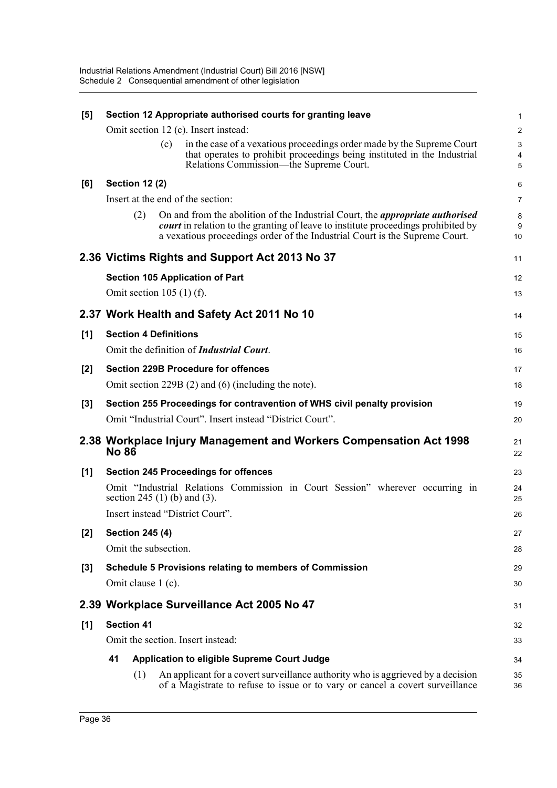| [5]   | Section 12 Appropriate authorised courts for granting leave |     |     |                                                                                                                                                                                                                                                                 |                     |  |
|-------|-------------------------------------------------------------|-----|-----|-----------------------------------------------------------------------------------------------------------------------------------------------------------------------------------------------------------------------------------------------------------------|---------------------|--|
|       |                                                             |     |     | Omit section 12 (c). Insert instead:                                                                                                                                                                                                                            | 2                   |  |
|       |                                                             |     | (c) | in the case of a vexatious proceedings order made by the Supreme Court                                                                                                                                                                                          | 3                   |  |
|       |                                                             |     |     | that operates to prohibit proceedings being instituted in the Industrial<br>Relations Commission—the Supreme Court.                                                                                                                                             | $\overline{4}$<br>5 |  |
| [6]   | <b>Section 12 (2)</b>                                       |     |     |                                                                                                                                                                                                                                                                 | 6                   |  |
|       |                                                             |     |     | Insert at the end of the section:                                                                                                                                                                                                                               | 7                   |  |
|       |                                                             | (2) |     | On and from the abolition of the Industrial Court, the <i>appropriate authorised</i><br><i>court</i> in relation to the granting of leave to institute proceedings prohibited by<br>a vexatious proceedings order of the Industrial Court is the Supreme Court. | 8<br>9<br>10        |  |
|       |                                                             |     |     | 2.36 Victims Rights and Support Act 2013 No 37                                                                                                                                                                                                                  | 11                  |  |
|       |                                                             |     |     | <b>Section 105 Application of Part</b>                                                                                                                                                                                                                          | 12                  |  |
|       | Omit section $105(1)$ (f).                                  |     |     |                                                                                                                                                                                                                                                                 | 13                  |  |
|       |                                                             |     |     | 2.37 Work Health and Safety Act 2011 No 10                                                                                                                                                                                                                      | 14                  |  |
| [1]   | <b>Section 4 Definitions</b>                                |     |     |                                                                                                                                                                                                                                                                 | 15                  |  |
|       |                                                             |     |     | Omit the definition of <i>Industrial Court</i> .                                                                                                                                                                                                                | 16                  |  |
| [2]   |                                                             |     |     | <b>Section 229B Procedure for offences</b>                                                                                                                                                                                                                      | 17                  |  |
|       |                                                             |     |     | Omit section 229B $(2)$ and $(6)$ (including the note).                                                                                                                                                                                                         | 18                  |  |
| $[3]$ |                                                             |     |     | Section 255 Proceedings for contravention of WHS civil penalty provision                                                                                                                                                                                        | 19                  |  |
|       |                                                             |     |     | Omit "Industrial Court". Insert instead "District Court".                                                                                                                                                                                                       | 20                  |  |
|       | <b>No 86</b>                                                |     |     | 2.38 Workplace Injury Management and Workers Compensation Act 1998                                                                                                                                                                                              | 21<br>22            |  |
| [1]   |                                                             |     |     | <b>Section 245 Proceedings for offences</b>                                                                                                                                                                                                                     | 23                  |  |
|       |                                                             |     |     | Omit "Industrial Relations Commission in Court Session" wherever occurring in<br>section 245 (1) (b) and (3).                                                                                                                                                   | 24<br>25            |  |
|       |                                                             |     |     | Insert instead "District Court".                                                                                                                                                                                                                                | 26                  |  |
| $[2]$ | <b>Section 245 (4)</b>                                      |     |     |                                                                                                                                                                                                                                                                 | 27                  |  |
|       | Omit the subsection.                                        |     |     |                                                                                                                                                                                                                                                                 | 28                  |  |
| $[3]$ |                                                             |     |     | <b>Schedule 5 Provisions relating to members of Commission</b>                                                                                                                                                                                                  | 29                  |  |
|       | Omit clause 1 (c).                                          |     |     |                                                                                                                                                                                                                                                                 | 30                  |  |
|       |                                                             |     |     | 2.39 Workplace Surveillance Act 2005 No 47                                                                                                                                                                                                                      | 31                  |  |
| [1]   | <b>Section 41</b>                                           |     |     |                                                                                                                                                                                                                                                                 | 32                  |  |
|       |                                                             |     |     | Omit the section. Insert instead:                                                                                                                                                                                                                               | 33                  |  |
|       | 41                                                          |     |     | <b>Application to eligible Supreme Court Judge</b>                                                                                                                                                                                                              | 34                  |  |
|       |                                                             | (1) |     | An applicant for a covert surveillance authority who is aggrieved by a decision<br>of a Magistrate to refuse to issue or to vary or cancel a covert surveillance                                                                                                | 35<br>36            |  |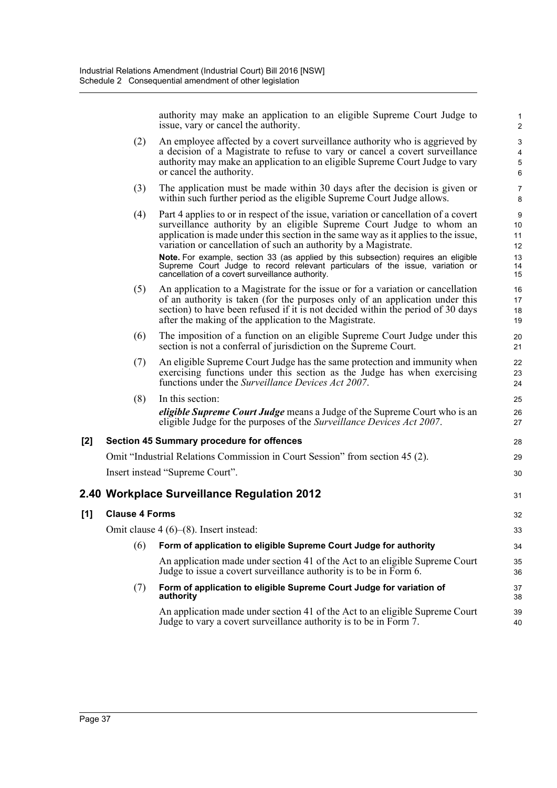authority may make an application to an eligible Supreme Court Judge to issue, vary or cancel the authority.

31

32 33

39 40

- (2) An employee affected by a covert surveillance authority who is aggrieved by a decision of a Magistrate to refuse to vary or cancel a covert surveillance authority may make an application to an eligible Supreme Court Judge to vary or cancel the authority.
- (3) The application must be made within 30 days after the decision is given or within such further period as the eligible Supreme Court Judge allows.
- (4) Part 4 applies to or in respect of the issue, variation or cancellation of a covert surveillance authority by an eligible Supreme Court Judge to whom an application is made under this section in the same way as it applies to the issue, variation or cancellation of such an authority by a Magistrate. **Note.** For example, section 33 (as applied by this subsection) requires an eligible Supreme Court Judge to record relevant particulars of the issue, variation or cancellation of a covert surveillance authority.
- (5) An application to a Magistrate for the issue or for a variation or cancellation of an authority is taken (for the purposes only of an application under this section) to have been refused if it is not decided within the period of 30 days after the making of the application to the Magistrate.
- (6) The imposition of a function on an eligible Supreme Court Judge under this section is not a conferral of jurisdiction on the Supreme Court.
- (7) An eligible Supreme Court Judge has the same protection and immunity when exercising functions under this section as the Judge has when exercising functions under the *Surveillance Devices Act 2007*.

(8) In this section: *eligible Supreme Court Judge* means a Judge of the Supreme Court who is an eligible Judge for the purposes of the *Surveillance Devices Act 2007*.

#### **[2] Section 45 Summary procedure for offences**

Omit "Industrial Relations Commission in Court Session" from section 45 (2). Insert instead "Supreme Court".

### **2.40 Workplace Surveillance Regulation 2012**

| [1] | <b>Clause 4 Forms</b> |  |
|-----|-----------------------|--|
|     |                       |  |

Omit clause 4 (6)–(8). Insert instead:

(6) **Form of application to eligible Supreme Court Judge for authority** An application made under section 41 of the Act to an eligible Supreme Court Judge to issue a covert surveillance authority is to be in Form 6. (7) **Form of application to eligible Supreme Court Judge for variation of authority** 34 35 36 37 38

An application made under section 41 of the Act to an eligible Supreme Court Judge to vary a covert surveillance authority is to be in Form 7.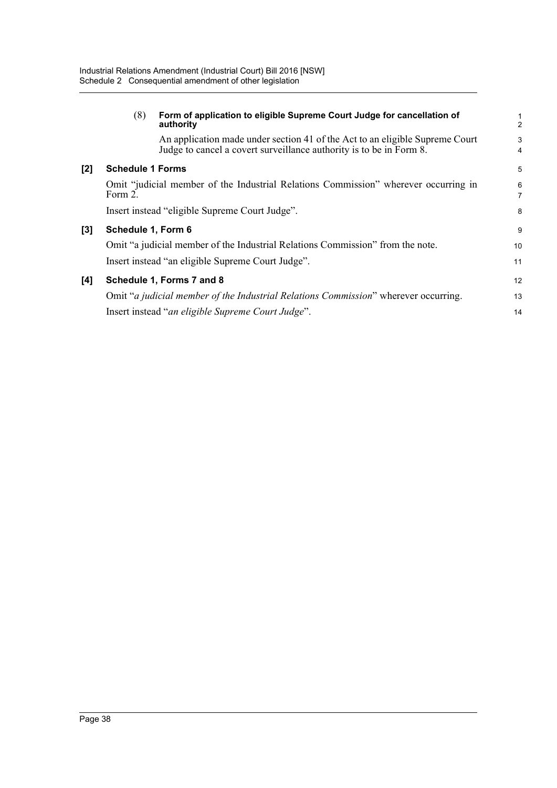|     | (8)                                                                                            | Form of application to eligible Supreme Court Judge for cancellation of<br>authority                                                                | $\frac{1}{2}$ |
|-----|------------------------------------------------------------------------------------------------|-----------------------------------------------------------------------------------------------------------------------------------------------------|---------------|
|     |                                                                                                | An application made under section 41 of the Act to an eligible Supreme Court<br>Judge to cancel a covert surveillance authority is to be in Form 8. | 3<br>4        |
| [2] | <b>Schedule 1 Forms</b>                                                                        |                                                                                                                                                     | 5             |
|     | Omit "judicial member of the Industrial Relations Commission" wherever occurring in<br>Form 2. |                                                                                                                                                     | 6<br>7        |
|     | Insert instead "eligible Supreme Court Judge".                                                 |                                                                                                                                                     | 8             |
| [3] | Schedule 1, Form 6                                                                             |                                                                                                                                                     | 9             |
|     | Omit "a judicial member of the Industrial Relations Commission" from the note.                 |                                                                                                                                                     | 10            |
|     | Insert instead "an eligible Supreme Court Judge".                                              |                                                                                                                                                     | 11            |
| [4] | Schedule 1, Forms 7 and 8                                                                      |                                                                                                                                                     | 12            |
|     | Omit "a judicial member of the Industrial Relations Commission" wherever occurring.            |                                                                                                                                                     | 13            |
|     | Insert instead "an eligible Supreme Court Judge".                                              |                                                                                                                                                     | 14            |